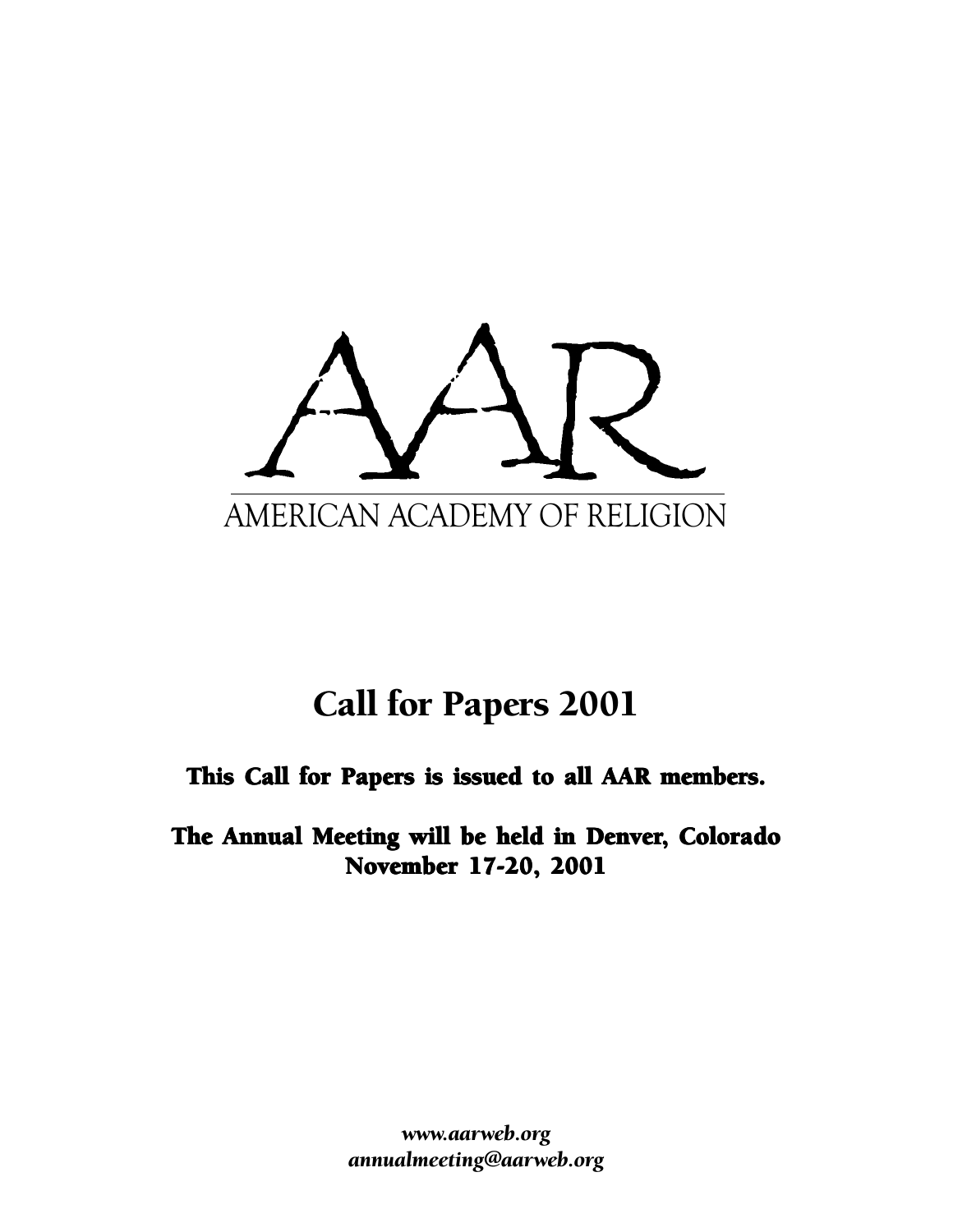

# Call for Papers 2001

# This Call for Papers is issued to all AAR members.

The Annual Meeting will be held in Denver, Colorado November 17-20, 2001

> *www.aarweb.org annualmeeting@aarweb.org*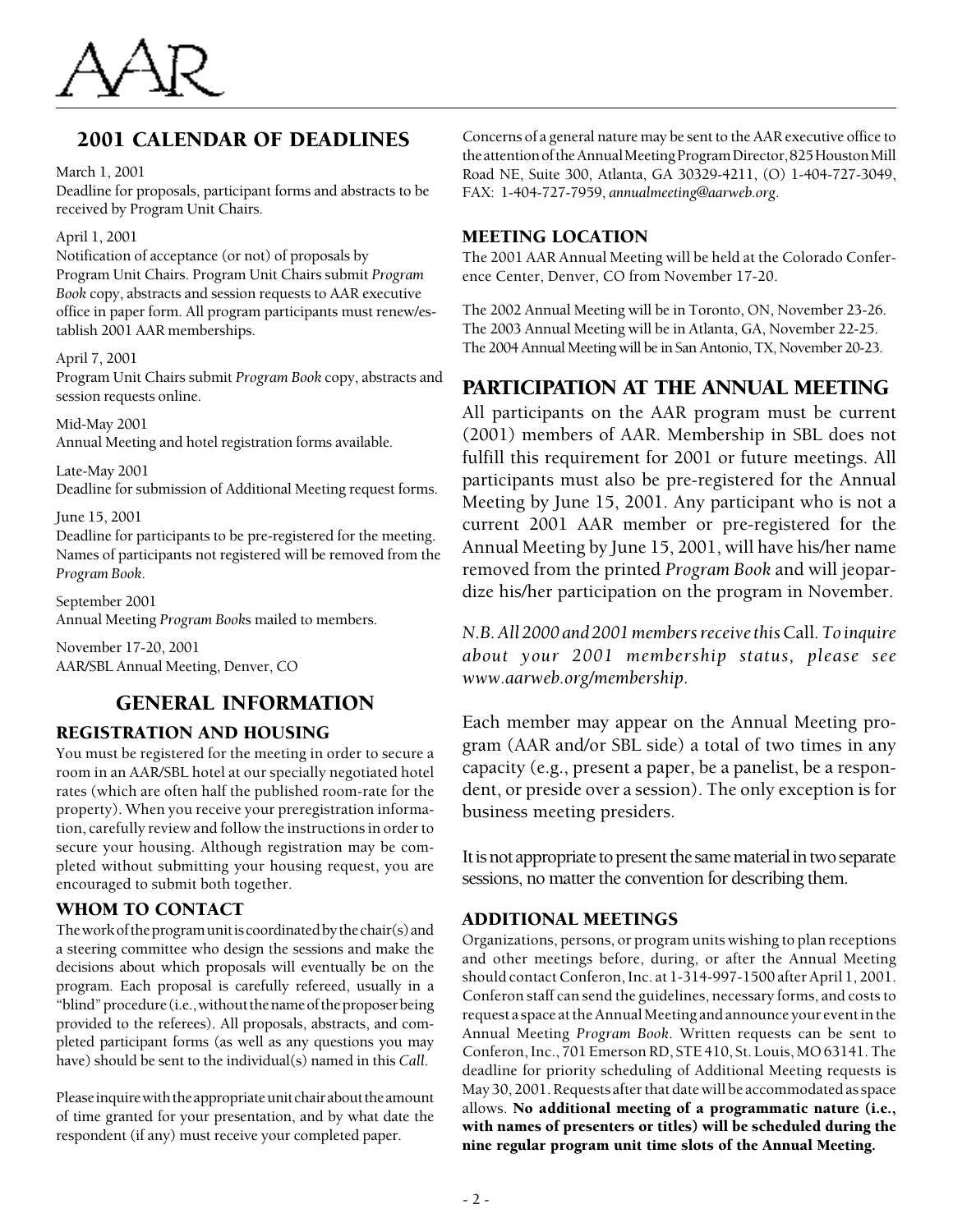

# 2001 CALENDAR OF DEADLINES

March 1, 2001

Deadline for proposals, participant forms and abstracts to be received by Program Unit Chairs.

#### April 1, 2001

Notification of acceptance (or not) of proposals by Program Unit Chairs. Program Unit Chairs submit *Program Book* copy, abstracts and session requests to AAR executive office in paper form. All program participants must renew/establish 2001 AAR memberships.

#### April 7, 2001

Program Unit Chairs submit *Program Book* copy, abstracts and session requests online.

Mid-May 2001 Annual Meeting and hotel registration forms available*.*

Late-May 2001 Deadline for submission of Additional Meeting request forms.

June 15, 2001

Deadline for participants to be pre-registered for the meeting. Names of participants not registered will be removed from the *Program Book*.

September 2001 Annual Meeting *Program Book*s mailed to members.

November 17-20, 2001 AAR/SBL Annual Meeting, Denver, CO

# GENERAL INFORMATION

## REGISTRATION AND HOUSING

You must be registered for the meeting in order to secure a room in an AAR/SBL hotel at our specially negotiated hotel rates (which are often half the published room-rate for the property). When you receive your preregistration information, carefully review and follow the instructions in order to secure your housing. Although registration may be completed without submitting your housing request, you are encouraged to submit both together.

## WHOM TO CONTACT

The work of the program unit is coordinated by the chair(s) and a steering committee who design the sessions and make the decisions about which proposals will eventually be on the program. Each proposal is carefully refereed, usually in a "blind" procedure (i.e., without the name of the proposer being provided to the referees). All proposals, abstracts, and completed participant forms (as well as any questions you may have) should be sent to the individual(s) named in this *Call*.

Please inquire with the appropriate unit chair about the amount of time granted for your presentation, and by what date the respondent (if any) must receive your completed paper.

Concerns of a general nature may be sent to the AAR executive office to the attention of the Annual Meeting Program Director, 825 Houston Mill Road NE, Suite 300, Atlanta, GA 30329-4211, (O) 1-404-727-3049, FAX: 1-404-727-7959, *annualmeeting@aarweb.org*.

## MEETING LOCATION

The 2001 AAR Annual Meeting will be held at the Colorado Conference Center, Denver, CO from November 17-20.

The 2002 Annual Meeting will be in Toronto, ON, November 23-26. The 2003 Annual Meeting will be in Atlanta, GA, November 22-25. The 2004 Annual Meeting will be in San Antonio, TX, November 20-23.

# PARTICIPATION AT THE ANNUAL MEETING

All participants on the AAR program must be current (2001) members of AAR. Membership in SBL does not fulfill this requirement for 2001 or future meetings. All participants must also be pre-registered for the Annual Meeting by June 15, 2001. Any participant who is not a current 2001 AAR member or pre-registered for the Annual Meeting by June 15, 2001, will have his/her name removed from the printed *Program Book* and will jeopardize his/her participation on the program in November.

*N.B. All 2000 and 2001 members receive this* Call*. To inquire about your 2001 membership status, please see www.aarweb.org/membership*.

Each member may appear on the Annual Meeting program (AAR and/or SBL side) a total of two times in any capacity (e.g., present a paper, be a panelist, be a respondent, or preside over a session). The only exception is for business meeting presiders.

It is not appropriate to present the same material in two separate sessions, no matter the convention for describing them.

# ADDITIONAL MEETINGS

Organizations, persons, or program units wishing to plan receptions and other meetings before, during, or after the Annual Meeting should contact Conferon, Inc. at 1-314-997-1500 after April 1, 2001. Conferon staff can send the guidelines, necessary forms, and costs to request a space at the Annual Meeting and announce your event in the Annual Meeting *Program Book*. Written requests can be sent to Conferon, Inc., 701 Emerson RD, STE 410, St. Louis, MO 63141. The deadline for priority scheduling of Additional Meeting requests is May 30, 2001. Requests after that date will be accommodated as space allows. No additional meeting of a programmatic nature (i.e., with names of presenters or titles) will be scheduled during the nine regular program unit time slots of the Annual Meeting.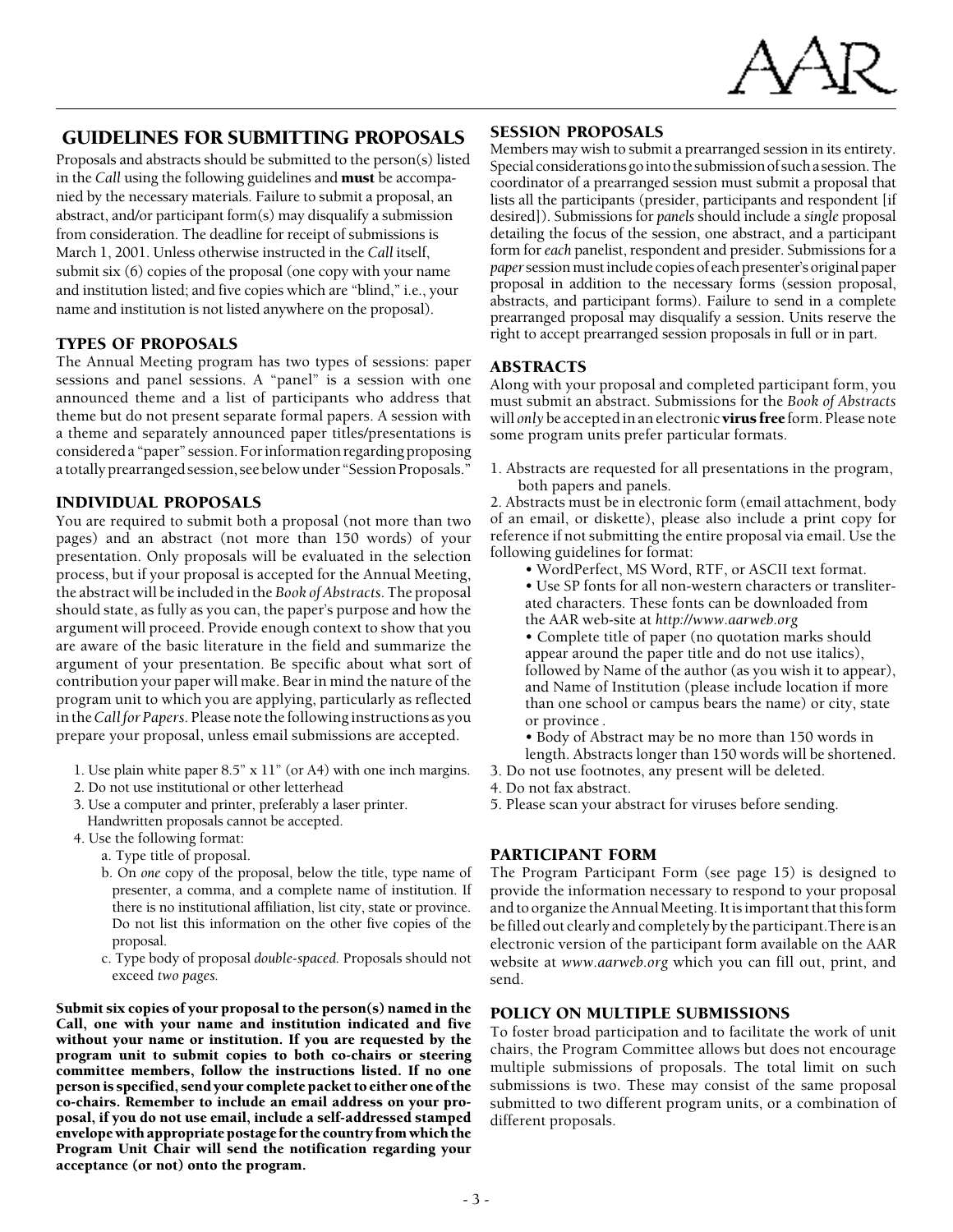

## GUIDELINES FOR SUBMITTING PROPOSALS

Proposals and abstracts should be submitted to the person(s) listed in the *Call* using the following guidelines and must be accompanied by the necessary materials. Failure to submit a proposal, an abstract, and/or participant form(s) may disqualify a submission from consideration. The deadline for receipt of submissions is March 1, 2001. Unless otherwise instructed in the *Call* itself, submit six (6) copies of the proposal (one copy with your name and institution listed; and five copies which are "blind," i.e., your name and institution is not listed anywhere on the proposal).

#### TYPES OF PROPOSALS

The Annual Meeting program has two types of sessions: paper sessions and panel sessions. A "panel" is a session with one announced theme and a list of participants who address that theme but do not present separate formal papers. A session with a theme and separately announced paper titles/presentations is considered a "paper" session. For information regarding proposing a totally prearranged session, see below under "Session Proposals."

#### INDIVIDUAL PROPOSALS

You are required to submit both a proposal (not more than two pages) and an abstract (not more than 150 words) of your presentation. Only proposals will be evaluated in the selection process, but if your proposal is accepted for the Annual Meeting, the abstract will be included in the *Book of Abstracts.* The proposal should state, as fully as you can, the paper's purpose and how the argument will proceed. Provide enough context to show that you are aware of the basic literature in the field and summarize the argument of your presentation. Be specific about what sort of contribution your paper will make. Bear in mind the nature of the program unit to which you are applying, particularly as reflected in the *Call for Papers.* Please note the following instructions as you prepare your proposal, unless email submissions are accepted.

- 1. Use plain white paper 8.5" x 11" (or A4) with one inch margins.
- 2. Do not use institutional or other letterhead
- 3. Use a computer and printer, preferably a laser printer.
- Handwritten proposals cannot be accepted.
- 4. Use the following format:
	- a. Type title of proposal.
	- b. On *one* copy of the proposal, below the title, type name of presenter, a comma, and a complete name of institution. If there is no institutional affiliation, list city, state or province. Do not list this information on the other five copies of the proposal.
	- c. Type body of proposal *double-spaced.* Proposals should not exceed *two pages.*

Submit six copies of your proposal to the person(s) named in the Call, one with your name and institution indicated and five without your name or institution. If you are requested by the program unit to submit copies to both co-chairs or steering committee members, follow the instructions listed. If no one person is specified, send your complete packet to either one of the co-chairs. Remember to include an email address on your proposal, if you do not use email, include a self-addressed stamped envelope with appropriate postage for the country from which the Program Unit Chair will send the notification regarding your acceptance (or not) onto the program.

### SESSION PROPOSALS

Members may wish to submit a prearranged session in its entirety. Special considerations go into the submission of such a session. The coordinator of a prearranged session must submit a proposal that lists all the participants (presider, participants and respondent [if desired]). Submissions for *panels* should include a *single* proposal detailing the focus of the session, one abstract, and a participant form for *each* panelist, respondent and presider. Submissions for a *paper* session must include copies of each presenter's original paper proposal in addition to the necessary forms (session proposal, abstracts, and participant forms). Failure to send in a complete prearranged proposal may disqualify a session. Units reserve the right to accept prearranged session proposals in full or in part.

#### ABSTRACTS

Along with your proposal and completed participant form, you must submit an abstract. Submissions for the *Book of Abstracts* will *only* be accepted in an electronic virus free form. Please note some program units prefer particular formats.

1. Abstracts are requested for all presentations in the program, both papers and panels.

2. Abstracts must be in electronic form (email attachment, body of an email, or diskette), please also include a print copy for reference if not submitting the entire proposal via email. Use the following guidelines for format:

- WordPerfect, MS Word, RTF, or ASCII text format.
- Use SP fonts for all non-western characters or transliterated characters. These fonts can be downloaded from the AAR web-site at *http://www.aarweb.org*
- Complete title of paper (no quotation marks should appear around the paper title and do not use italics), followed by Name of the author (as you wish it to appear), and Name of Institution (please include location if more than one school or campus bears the name) or city, state or province .
- Body of Abstract may be no more than 150 words in length. Abstracts longer than 150 words will be shortened.
- 3. Do not use footnotes, any present will be deleted.
- 4. Do not fax abstract.
- 5. Please scan your abstract for viruses before sending.

### PARTICIPANT FORM

The Program Participant Form (see page 15) is designed to provide the information necessary to respond to your proposal and to organize the Annual Meeting. It is important that this form be filled out clearly and completely by the participant.There is an electronic version of the participant form available on the AAR website at *www.aarweb.org* which you can fill out, print, and send.

### POLICY ON MULTIPLE SUBMISSIONS

To foster broad participation and to facilitate the work of unit chairs, the Program Committee allows but does not encourage multiple submissions of proposals. The total limit on such submissions is two. These may consist of the same proposal submitted to two different program units, or a combination of different proposals.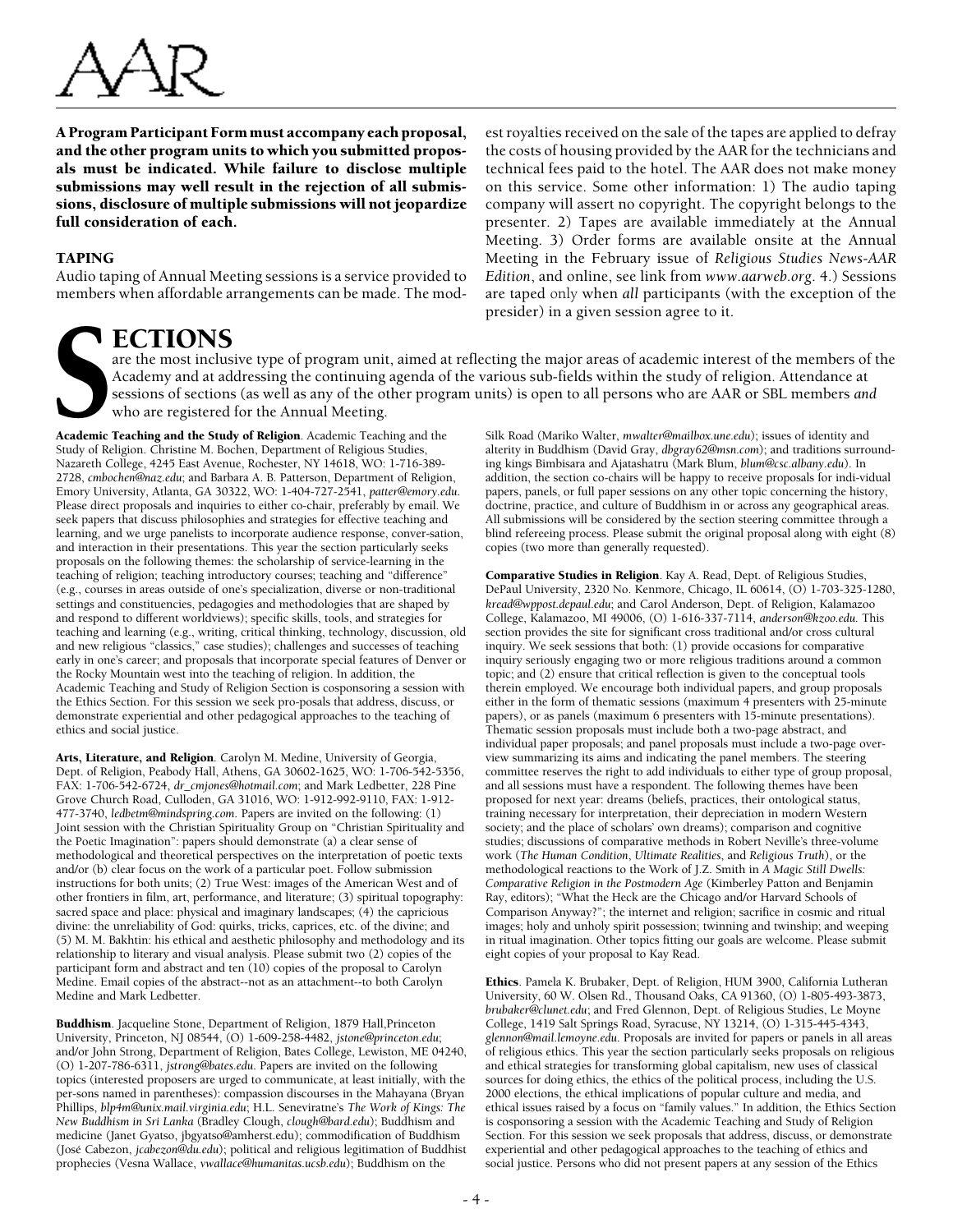

A Program Participant Form must accompany each proposal, and the other program units to which you submitted proposals must be indicated. While failure to disclose multiple submissions may well result in the rejection of all submissions, disclosure of multiple submissions will not jeopardize full consideration of each.

#### TAPING

Audio taping of Annual Meeting sessions is a service provided to members when affordable arrangements can be made. The modest royalties received on the sale of the tapes are applied to defray the costs of housing provided by the AAR for the technicians and technical fees paid to the hotel. The AAR does not make money on this service. Some other information: 1) The audio taping company will assert no copyright. The copyright belongs to the presenter. 2) Tapes are available immediately at the Annual Meeting. 3) Order forms are available onsite at the Annual Meeting in the February issue of *Religious Studies News-AAR Edition*, and online, see link from *www.aarweb.org*. 4.) Sessions are taped only when *all* participants (with the exception of the presider) in a given session agree to it.

# **I ECTIONS**

are the most inclusive type of program unit, aimed at reflecting the major areas of academic interest of the members of the Academy and at addressing the continuing agenda of the various sub-fields within the study of religion. Attendance at sessions of sections (as well as any of the other program units) is open to all persons who are AAR or SBL members *and* who are registered for the Annual Meeting.

Academic Teaching and the Study of Religion. Academic Teaching and the Study of Religion. Christine M. Bochen, Department of Religious Studies, Nazareth College, 4245 East Avenue, Rochester, NY 14618, WO: 1-716-389- 2728, *cmbochen@naz.edu*; and Barbara A. B. Patterson, Department of Religion, Emory University, Atlanta, GA 30322, WO: 1-404-727-2541, *patter@emory.edu*. Please direct proposals and inquiries to either co-chair, preferably by email. We seek papers that discuss philosophies and strategies for effective teaching and learning, and we urge panelists to incorporate audience response, conver-sation, and interaction in their presentations. This year the section particularly seeks proposals on the following themes: the scholarship of service-learning in the teaching of religion; teaching introductory courses; teaching and "difference" (e.g., courses in areas outside of one's specialization, diverse or non-traditional settings and constituencies, pedagogies and methodologies that are shaped by and respond to different worldviews); specific skills, tools, and strategies for teaching and learning (e.g., writing, critical thinking, technology, discussion, old and new religious "classics," case studies); challenges and successes of teaching early in one's career; and proposals that incorporate special features of Denver or the Rocky Mountain west into the teaching of religion. In addition, the Academic Teaching and Study of Religion Section is cosponsoring a session with the Ethics Section. For this session we seek pro-posals that address, discuss, or demonstrate experiential and other pedagogical approaches to the teaching of ethics and social justice.

Arts, Literature, and Religion. Carolyn M. Medine, University of Georgia, Dept. of Religion, Peabody Hall, Athens, GA 30602-1625, WO: 1-706-542-5356, FAX: 1-706-542-6724, *dr\_cmjones@hotmail.com*; and Mark Ledbetter, 228 Pine Grove Church Road, Culloden, GA 31016, WO: 1-912-992-9110, FAX: 1-912- 477-3740, *ledbetm@mindspring.com*. Papers are invited on the following: (1) Joint session with the Christian Spirituality Group on "Christian Spirituality and the Poetic Imagination": papers should demonstrate (a) a clear sense of methodological and theoretical perspectives on the interpretation of poetic texts and/or (b) clear focus on the work of a particular poet. Follow submission instructions for both units; (2) True West: images of the American West and of other frontiers in film, art, performance, and literature; (3) spiritual topography: sacred space and place: physical and imaginary landscapes; (4) the capricious divine: the unreliability of God: quirks, tricks, caprices, etc. of the divine; and (5) M. M. Bakhtin: his ethical and aesthetic philosophy and methodology and its relationship to literary and visual analysis. Please submit two (2) copies of the participant form and abstract and ten (10) copies of the proposal to Carolyn Medine. Email copies of the abstract--not as an attachment--to both Carolyn Medine and Mark Ledbetter.

Buddhism. Jacqueline Stone, Department of Religion, 1879 Hall,Princeton University, Princeton, NJ 08544, (O) 1-609-258-4482, *jstone@princeton.edu*; and/or John Strong, Department of Religion, Bates College, Lewiston, ME 04240, (O) 1-207-786-6311, *jstrong@bates.edu*. Papers are invited on the following topics (interested proposers are urged to communicate, at least initially, with the per-sons named in parentheses): compassion discourses in the Mahayana (Bryan Phillips, *blp4m@unix.mail.virginia.edu*; H.L. Seneviratne's *The Work of Kings: The New Buddhism in Sri Lanka* (Bradley Clough, *clough@bard.edu*); Buddhism and medicine (Janet Gyatso, jbgyatso@amherst.edu); commodification of Buddhism (José Cabezon, *jcabezon@du.edu*); political and religious legitimation of Buddhist prophecies (Vesna Wallace, *vwallace@humanitas.ucsb.edu*); Buddhism on the

Silk Road (Mariko Walter, *mwalter@mailbox.une.edu*); issues of identity and alterity in Buddhism (David Gray, *dbgray62@msn.com*); and traditions surrounding kings Bimbisara and Ajatashatru (Mark Blum, *blum@csc.albany.edu*). In addition, the section co-chairs will be happy to receive proposals for indi-vidual papers, panels, or full paper sessions on any other topic concerning the history, doctrine, practice, and culture of Buddhism in or across any geographical areas. All submissions will be considered by the section steering committee through a blind refereeing process. Please submit the original proposal along with eight (8) copies (two more than generally requested).

Comparative Studies in Religion. Kay A. Read, Dept. of Religious Studies, DePaul University, 2320 No. Kenmore, Chicago, IL 60614, (O) 1-703-325-1280, *kread@wppost.depaul.edu*; and Carol Anderson, Dept. of Religion, Kalamazoo College, Kalamazoo, MI 49006, (O) 1-616-337-7114, *anderson@kzoo.edu*. This section provides the site for significant cross traditional and/or cross cultural inquiry. We seek sessions that both: (1) provide occasions for comparative inquiry seriously engaging two or more religious traditions around a common topic; and (2) ensure that critical reflection is given to the conceptual tools therein employed. We encourage both individual papers, and group proposals either in the form of thematic sessions (maximum 4 presenters with 25-minute papers), or as panels (maximum 6 presenters with 15-minute presentations). Thematic session proposals must include both a two-page abstract, and individual paper proposals; and panel proposals must include a two-page overview summarizing its aims and indicating the panel members. The steering committee reserves the right to add individuals to either type of group proposal, and all sessions must have a respondent. The following themes have been proposed for next year: dreams (beliefs, practices, their ontological status, training necessary for interpretation, their depreciation in modern Western society; and the place of scholars' own dreams); comparison and cognitive studies; discussions of comparative methods in Robert Neville's three-volume work (*The Human Condition*, *Ultimate Realities*, and *Religious Truth*), or the methodological reactions to the Work of J.Z. Smith in *A Magic Still Dwells: Comparative Religion in the Postmodern Age* (Kimberley Patton and Benjamin Ray, editors); "What the Heck are the Chicago and/or Harvard Schools of Comparison Anyway?"; the internet and religion; sacrifice in cosmic and ritual images; holy and unholy spirit possession; twinning and twinship; and weeping in ritual imagination. Other topics fitting our goals are welcome. Please submit eight copies of your proposal to Kay Read.

Ethics. Pamela K. Brubaker, Dept. of Religion, HUM 3900, California Lutheran University, 60 W. Olsen Rd., Thousand Oaks, CA 91360, (O) 1-805-493-3873, *brubaker@clunet.edu*; and Fred Glennon, Dept. of Religious Studies, Le Moyne College, 1419 Salt Springs Road, Syracuse, NY 13214, (O) 1-315-445-4343, *glennon@mail.lemoyne.edu*. Proposals are invited for papers or panels in all areas of religious ethics. This year the section particularly seeks proposals on religious and ethical strategies for transforming global capitalism, new uses of classical sources for doing ethics, the ethics of the political process, including the U.S. 2000 elections, the ethical implications of popular culture and media, and ethical issues raised by a focus on "family values." In addition, the Ethics Section is cosponsoring a session with the Academic Teaching and Study of Religion Section. For this session we seek proposals that address, discuss, or demonstrate experiential and other pedagogical approaches to the teaching of ethics and social justice. Persons who did not present papers at any session of the Ethics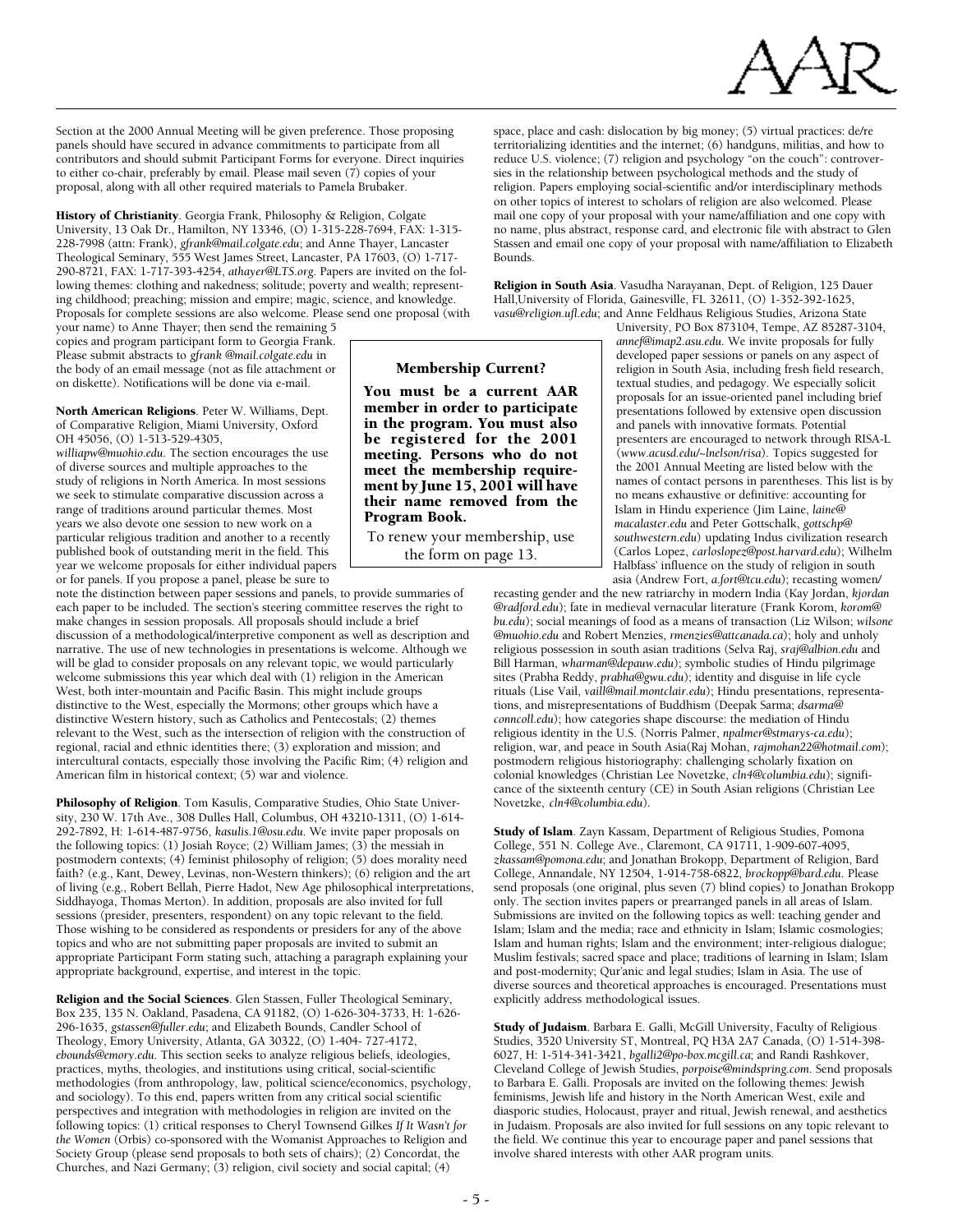

Section at the 2000 Annual Meeting will be given preference. Those proposing panels should have secured in advance commitments to participate from all contributors and should submit Participant Forms for everyone. Direct inquiries to either co-chair, preferably by email. Please mail seven  $(7)$  copies of your proposal, along with all other required materials to Pamela Brubaker.

History of Christianity. Georgia Frank, Philosophy & Religion, Colgate University, 13 Oak Dr., Hamilton, NY 13346, (O) 1-315-228-7694, FAX: 1-315- 228-7998 (attn: Frank), *gfrank@mail.colgate.edu*; and Anne Thayer, Lancaster Theological Seminary, 555 West James Street, Lancaster, PA 17603, (O) 1-717- 290-8721, FAX: 1-717-393-4254, *athayer@LTS.org*. Papers are invited on the following themes: clothing and nakedness; solitude; poverty and wealth; representing childhood; preaching; mission and empire; magic, science, and knowledge. Proposals for complete sessions are also welcome. Please send one proposal (with

your name) to Anne Thayer; then send the remaining 5 copies and program participant form to Georgia Frank. Please submit abstracts to *gfrank @mail.colgate.edu* in the body of an email message (not as file attachment or on diskette). Notifications will be done via e-mail.

North American Religions. Peter W. Williams, Dept. of Comparative Religion, Miami University, Oxford OH 45056, (O) 1-513-529-4305,

*williapw@muohio.edu*. The section encourages the use of diverse sources and multiple approaches to the study of religions in North America. In most sessions we seek to stimulate comparative discussion across a range of traditions around particular themes. Most years we also devote one session to new work on a particular religious tradition and another to a recently published book of outstanding merit in the field. This year we welcome proposals for either individual papers or for panels. If you propose a panel, please be sure to

note the distinction between paper sessions and panels, to provide summaries of each paper to be included. The section's steering committee reserves the right to make changes in session proposals. All proposals should include a brief discussion of a methodological/interpretive component as well as description and narrative. The use of new technologies in presentations is welcome. Although we will be glad to consider proposals on any relevant topic, we would particularly welcome submissions this year which deal with (1) religion in the American West, both inter-mountain and Pacific Basin. This might include groups distinctive to the West, especially the Mormons; other groups which have a distinctive Western history, such as Catholics and Pentecostals; (2) themes relevant to the West, such as the intersection of religion with the construction of regional, racial and ethnic identities there; (3) exploration and mission; and intercultural contacts, especially those involving the Pacific Rim; (4) religion and American film in historical context; (5) war and violence.

Philosophy of Religion. Tom Kasulis, Comparative Studies, Ohio State University, 230 W. 17th Ave., 308 Dulles Hall, Columbus, OH 43210-1311, (O) 1-614- 292-7892, H: 1-614-487-9756, *kasulis.1@osu.edu*. We invite paper proposals on the following topics: (1) Josiah Royce; (2) William James; (3) the messiah in postmodern contexts; (4) feminist philosophy of religion; (5) does morality need faith? (e.g., Kant, Dewey, Levinas, non-Western thinkers); (6) religion and the art of living (e.g., Robert Bellah, Pierre Hadot, New Age philosophical interpretations, Siddhayoga, Thomas Merton). In addition, proposals are also invited for full sessions (presider, presenters, respondent) on any topic relevant to the field. Those wishing to be considered as respondents or presiders for any of the above topics and who are not submitting paper proposals are invited to submit an appropriate Participant Form stating such, attaching a paragraph explaining your appropriate background, expertise, and interest in the topic.

Religion and the Social Sciences. Glen Stassen, Fuller Theological Seminary, Box 235, 135 N. Oakland, Pasadena, CA 91182, (O) 1-626-304-3733, H: 1-626- 296-1635, *gstassen@fuller.edu*; and Elizabeth Bounds, Candler School of Theology, Emory University, Atlanta, GA 30322, (O) 1-404- 727-4172, *ebounds@emory.edu*. This section seeks to analyze religious beliefs, ideologies, practices, myths, theologies, and institutions using critical, social-scientific methodologies (from anthropology, law, political science/economics, psychology, and sociology). To this end, papers written from any critical social scientific perspectives and integration with methodologies in religion are invited on the following topics: (1) critical responses to Cheryl Townsend Gilkes *If It Wasn't for the Women* (Orbis) co-sponsored with the Womanist Approaches to Religion and Society Group (please send proposals to both sets of chairs); (2) Concordat, the Churches, and Nazi Germany; (3) religion, civil society and social capital; (4)

space, place and cash: dislocation by big money; (5) virtual practices: de/re territorializing identities and the internet; (6) handguns, militias, and how to reduce U.S. violence; (7) religion and psychology "on the couch": controversies in the relationship between psychological methods and the study of religion. Papers employing social-scientific and/or interdisciplinary methods on other topics of interest to scholars of religion are also welcomed. Please mail one copy of your proposal with your name/affiliation and one copy with no name, plus abstract, response card, and electronic file with abstract to Glen Stassen and email one copy of your proposal with name/affiliation to Elizabeth Bounds.

Religion in South Asia. Vasudha Narayanan, Dept. of Religion, 125 Dauer Hall,University of Florida, Gainesville, FL 32611, (O) 1-352-392-1625, *vasu@religion.ufl.edu*; and Anne Feldhaus Religious Studies, Arizona State

> University, PO Box 873104, Tempe, AZ 85287-3104, *annef@imap2.asu.edu*. We invite proposals for fully developed paper sessions or panels on any aspect of religion in South Asia, including fresh field research, textual studies, and pedagogy. We especially solicit proposals for an issue-oriented panel including brief presentations followed by extensive open discussion and panels with innovative formats. Potential presenters are encouraged to network through RISA-L (*www.acusd.edu/~lnelson/risa*). Topics suggested for the 2001 Annual Meeting are listed below with the names of contact persons in parentheses. This list is by no means exhaustive or definitive: accounting for Islam in Hindu experience (Jim Laine, *laine@ macalaster.edu* and Peter Gottschalk, *gottschp@ southwestern.edu*) updating Indus civilization research (Carlos Lopez, *carloslopez@post.harvard.edu*); Wilhelm Halbfass' influence on the study of religion in south asia (Andrew Fort, *a.fort@tcu.edu*); recasting women/

recasting gender and the new ratriarchy in modern India (Kay Jordan, *kjordan @radford.edu*); fate in medieval vernacular literature (Frank Korom, *korom@ bu.edu*); social meanings of food as a means of transaction (Liz Wilson; *wilsone @muohio.edu* and Robert Menzies, *rmenzies@attcanada.ca*); holy and unholy religious possession in south asian traditions (Selva Raj, *sraj@albion.edu* and Bill Harman, *wharman@depauw.edu*); symbolic studies of Hindu pilgrimage sites (Prabha Reddy, *prabha@gwu.edu*); identity and disguise in life cycle rituals (Lise Vail, *vaill@mail.montclair.edu*); Hindu presentations, representations, and misrepresentations of Buddhism (Deepak Sarma; *dsarma@ conncoll.edu*); how categories shape discourse: the mediation of Hindu religious identity in the U.S. (Norris Palmer, *npalmer@stmarys-ca.edu*); religion, war, and peace in South Asia(Raj Mohan, *rajmohan22@hotmail.com*); postmodern religious historiography: challenging scholarly fixation on colonial knowledges (Christian Lee Novetzke, *cln4@columbia.edu*); significance of the sixteenth century (CE) in South Asian religions (Christian Lee Novetzke, *cln4@columbia.edu*).

Study of Islam. Zayn Kassam, Department of Religious Studies, Pomona College, 551 N. College Ave., Claremont, CA 91711, 1-909-607-4095, *zkassam@pomona.edu*; and Jonathan Brokopp, Department of Religion, Bard College, Annandale, NY 12504, 1-914-758-6822, *brockopp@bard.edu*. Please send proposals (one original, plus seven (7) blind copies) to Jonathan Brokopp only. The section invites papers or prearranged panels in all areas of Islam. Submissions are invited on the following topics as well: teaching gender and Islam; Islam and the media; race and ethnicity in Islam; Islamic cosmologies; Islam and human rights; Islam and the environment; inter-religious dialogue; Muslim festivals; sacred space and place; traditions of learning in Islam; Islam and post-modernity; Qur'anic and legal studies; Islam in Asia. The use of diverse sources and theoretical approaches is encouraged. Presentations must explicitly address methodological issues.

Study of Judaism. Barbara E. Galli, McGill University, Faculty of Religious Studies, 3520 University ST, Montreal, PQ H3A 2A7 Canada, (O) 1-514-398- 6027, H: 1-514-341-3421, *bgalli2@po-box.mcgill.ca*; and Randi Rashkover, Cleveland College of Jewish Studies, *porpoise@mindspring.com*. Send proposals to Barbara E. Galli. Proposals are invited on the following themes: Jewish feminisms, Jewish life and history in the North American West, exile and diasporic studies, Holocaust, prayer and ritual, Jewish renewal, and aesthetics in Judaism. Proposals are also invited for full sessions on any topic relevant to the field. We continue this year to encourage paper and panel sessions that involve shared interests with other AAR program units.

be registered for the 2001 meeting. Persons who do not meet the membership require-

Membership Current? You must be a current AAR member in order to participate in the program. You must also

To renew your membership, use the form on page 13.

ment by June 15, 2001 will have their name removed from the

Program Book.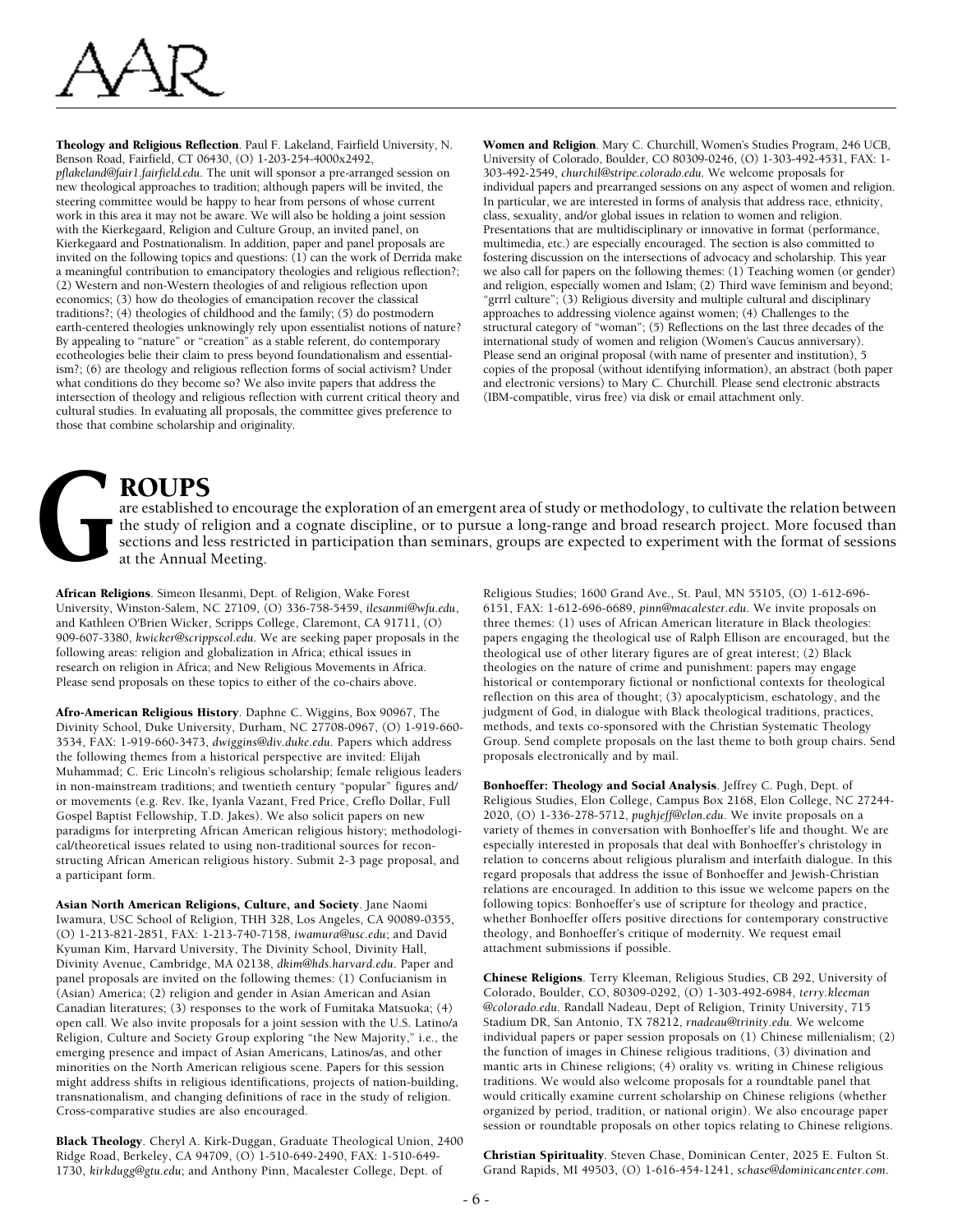

Theology and Religious Reflection. Paul F. Lakeland, Fairfield University, N. Benson Road, Fairfield, CT 06430, (O) 1-203-254-4000x2492, *pflakeland@fair1.fairfield.edu*. The unit will sponsor a pre-arranged session on new theological approaches to tradition; although papers will be invited, the steering committee would be happy to hear from persons of whose current work in this area it may not be aware. We will also be holding a joint session with the Kierkegaard, Religion and Culture Group, an invited panel, on Kierkegaard and Postnationalism. In addition, paper and panel proposals are invited on the following topics and questions: (1) can the work of Derrida make a meaningful contribution to emancipatory theologies and religious reflection?; (2) Western and non-Western theologies of and religious reflection upon economics; (3) how do theologies of emancipation recover the classical traditions?; (4) theologies of childhood and the family; (5) do postmodern earth-centered theologies unknowingly rely upon essentialist notions of nature? By appealing to "nature" or "creation" as a stable referent, do contemporary ecotheologies belie their claim to press beyond foundationalism and essentialism?; (6) are theology and religious reflection forms of social activism? Under what conditions do they become so? We also invite papers that address the intersection of theology and religious reflection with current critical theory and cultural studies. In evaluating all proposals, the committee gives preference to those that combine scholarship and originality.

Women and Religion. Mary C. Churchill, Women's Studies Program, 246 UCB, University of Colorado, Boulder, CO 80309-0246, (O) 1-303-492-4531, FAX: 1- 303-492-2549, *churchil@stripe.colorado.edu*. We welcome proposals for individual papers and prearranged sessions on any aspect of women and religion. In particular, we are interested in forms of analysis that address race, ethnicity, class, sexuality, and/or global issues in relation to women and religion. Presentations that are multidisciplinary or innovative in format (performance, multimedia, etc.) are especially encouraged. The section is also committed to fostering discussion on the intersections of advocacy and scholarship. This year we also call for papers on the following themes: (1) Teaching women (or gender) and religion, especially women and Islam; (2) Third wave feminism and beyond; "grrrl culture"; (3) Religious diversity and multiple cultural and disciplinary approaches to addressing violence against women; (4) Challenges to the structural category of "woman"; (5) Reflections on the last three decades of the international study of women and religion (Women's Caucus anniversary). Please send an original proposal (with name of presenter and institution), 5 copies of the proposal (without identifying information), an abstract (both paper and electronic versions) to Mary C. Churchill. Please send electronic abstracts (IBM-compatible, virus free) via disk or email attachment only.

ROUPS<br>
are established<br>
the study of resettions and lead<br>
at the Annual are established to encourage the exploration of an emergent area of study or methodology, to cultivate the relation between the study of religion and a cognate discipline, or to pursue a long-range and broad research project. More focused than sections and less restricted in participation than seminars, groups are expected to experiment with the format of sessions at the Annual Meeting.

African Religions. Simeon Ilesanmi, Dept. of Religion, Wake Forest University, Winston-Salem, NC 27109, (O) 336-758-5459, *ilesanmi@wfu.edu*, and Kathleen O'Brien Wicker, Scripps College, Claremont, CA 91711, (O) 909-607-3380, *kwicker@scrippscol.edu*. We are seeking paper proposals in the following areas: religion and globalization in Africa; ethical issues in research on religion in Africa; and New Religious Movements in Africa. Please send proposals on these topics to either of the co-chairs above.

Afro-American Religious History. Daphne C. Wiggins, Box 90967, The Divinity School, Duke University, Durham, NC 27708-0967, (O) 1-919-660- 3534, FAX: 1-919-660-3473, *dwiggins@div.duke.edu*. Papers which address the following themes from a historical perspective are invited: Elijah Muhammad; C. Eric Lincoln's religious scholarship; female religious leaders in non-mainstream traditions; and twentieth century "popular" figures and/ or movements (e.g. Rev. Ike, Iyanla Vazant, Fred Price, Creflo Dollar, Full Gospel Baptist Fellowship, T.D. Jakes). We also solicit papers on new paradigms for interpreting African American religious history; methodological/theoretical issues related to using non-traditional sources for reconstructing African American religious history. Submit 2-3 page proposal, and a participant form.

Asian North American Religions, Culture, and Society. Jane Naomi Iwamura, USC School of Religion, THH 328, Los Angeles, CA 90089-0355, (O) 1-213-821-2851, FAX: 1-213-740-7158, *iwamura@usc.edu*; and David Kyuman Kim, Harvard University, The Divinity School, Divinity Hall, Divinity Avenue, Cambridge, MA 02138, *dkim@hds.harvard.edu*. Paper and panel proposals are invited on the following themes: (1) Confucianism in (Asian) America; (2) religion and gender in Asian American and Asian Canadian literatures; (3) responses to the work of Fumitaka Matsuoka; (4) open call. We also invite proposals for a joint session with the U.S. Latino/a Religion, Culture and Society Group exploring "the New Majority," i.e., the emerging presence and impact of Asian Americans, Latinos/as, and other minorities on the North American religious scene. Papers for this session might address shifts in religious identifications, projects of nation-building, transnationalism, and changing definitions of race in the study of religion. Cross-comparative studies are also encouraged.

Black Theology. Cheryl A. Kirk-Duggan, Graduate Theological Union, 2400 Ridge Road, Berkeley, CA 94709, (O) 1-510-649-2490, FAX: 1-510-649- 1730, *kirkdugg@gtu.edu*; and Anthony Pinn, Macalester College, Dept. of

Religious Studies; 1600 Grand Ave., St. Paul, MN 55105, (O) 1-612-696- 6151, FAX: 1-612-696-6689, *pinn@macalester.edu*. We invite proposals on three themes: (1) uses of African American literature in Black theologies: papers engaging the theological use of Ralph Ellison are encouraged, but the theological use of other literary figures are of great interest; (2) Black theologies on the nature of crime and punishment: papers may engage historical or contemporary fictional or nonfictional contexts for theological reflection on this area of thought; (3) apocalypticism, eschatology, and the judgment of God, in dialogue with Black theological traditions, practices, methods, and texts co-sponsored with the Christian Systematic Theology Group. Send complete proposals on the last theme to both group chairs. Send proposals electronically and by mail.

Bonhoeffer: Theology and Social Analysis. Jeffrey C. Pugh, Dept. of Religious Studies, Elon College, Campus Box 2168, Elon College, NC 27244- 2020, (O) 1-336-278-5712, *pughjeff@elon.edu*. We invite proposals on a variety of themes in conversation with Bonhoeffer's life and thought. We are especially interested in proposals that deal with Bonhoeffer's christology in relation to concerns about religious pluralism and interfaith dialogue. In this regard proposals that address the issue of Bonhoeffer and Jewish-Christian relations are encouraged. In addition to this issue we welcome papers on the following topics: Bonhoeffer's use of scripture for theology and practice, whether Bonhoeffer offers positive directions for contemporary constructive theology, and Bonhoeffer's critique of modernity. We request email attachment submissions if possible.

Chinese Religions. Terry Kleeman, Religious Studies, CB 292, University of Colorado, Boulder, CO, 80309-0292, (O) 1-303-492-6984, *terry.kleeman @colorado.edu*. Randall Nadeau, Dept of Religion, Trinity University, 715 Stadium DR, San Antonio, TX 78212, *rnadeau@trinity.edu*. We welcome individual papers or paper session proposals on (1) Chinese millenialism; (2) the function of images in Chinese religious traditions, (3) divination and mantic arts in Chinese religions; (4) orality vs. writing in Chinese religious traditions. We would also welcome proposals for a roundtable panel that would critically examine current scholarship on Chinese religions (whether organized by period, tradition, or national origin). We also encourage paper session or roundtable proposals on other topics relating to Chinese religions.

Christian Spirituality. Steven Chase, Dominican Center, 2025 E. Fulton St. Grand Rapids, MI 49503, (O) 1-616-454-1241, *schase@dominicancenter.com*.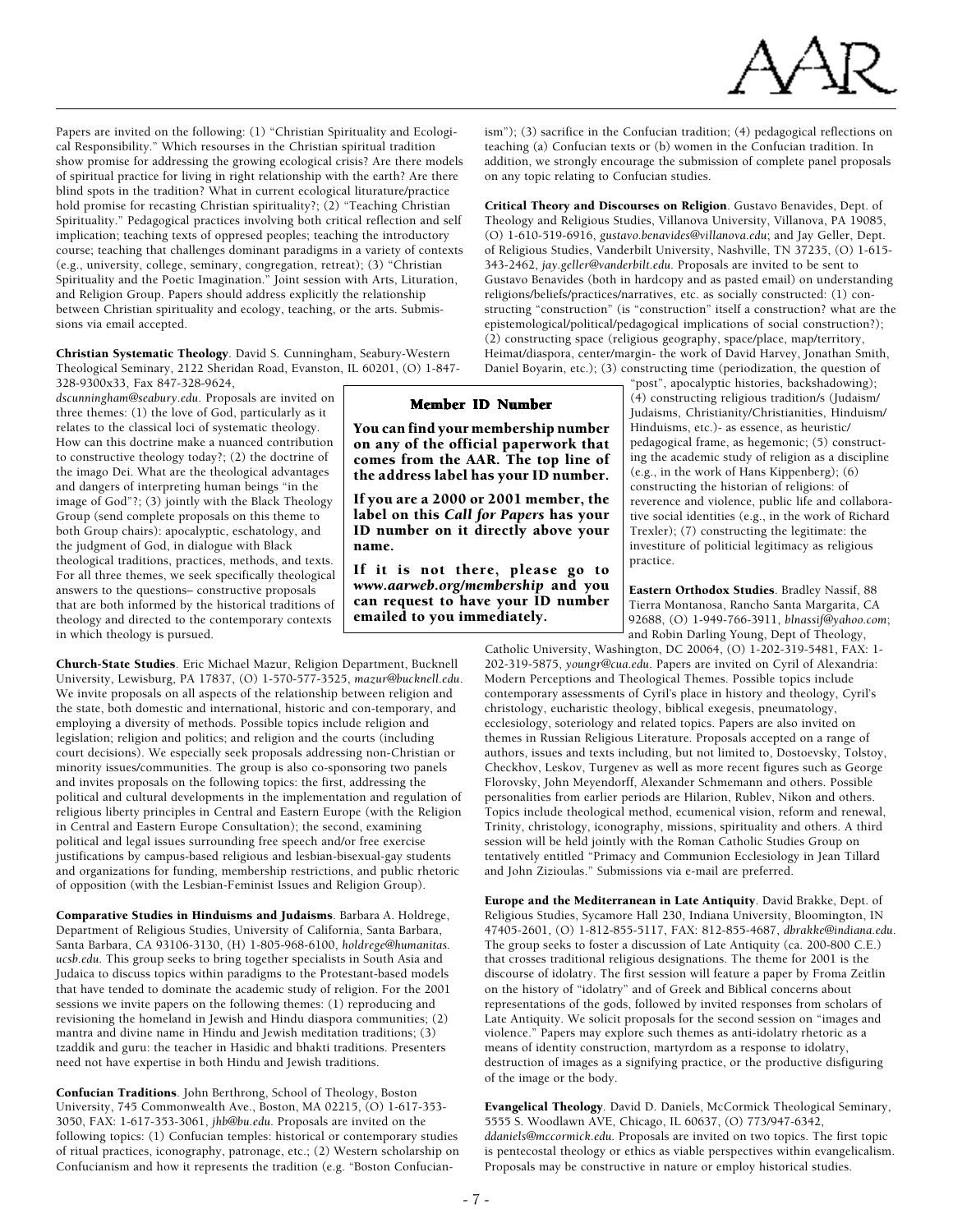

Papers are invited on the following: (1) "Christian Spirituality and Ecological Responsibility." Which resourses in the Christian spiritual tradition show promise for addressing the growing ecological crisis? Are there models of spiritual practice for living in right relationship with the earth? Are there blind spots in the tradition? What in current ecological liturature/practice hold promise for recasting Christian spirituality?; (2) "Teaching Christian Spirituality." Pedagogical practices involving both critical reflection and self implication; teaching texts of oppresed peoples; teaching the introductory course; teaching that challenges dominant paradigms in a variety of contexts (e.g., university, college, seminary, congregation, retreat); (3) "Christian Spirituality and the Poetic Imagination." Joint session with Arts, Lituration, and Religion Group. Papers should address explicitly the relationship between Christian spirituality and ecology, teaching, or the arts. Submissions via email accepted.

Christian Systematic Theology. David S. Cunningham, Seabury-Western Theological Seminary, 2122 Sheridan Road, Evanston, IL 60201, (O) 1-847-

328-9300x33, Fax 847-328-9624, *dscunningham@seabury.edu*. Proposals are invited on three themes: (1) the love of God, particularly as it relates to the classical loci of systematic theology. How can this doctrine make a nuanced contribution to constructive theology today?; (2) the doctrine of the imago Dei. What are the theological advantages and dangers of interpreting human beings "in the image of God"?; (3) jointly with the Black Theology Group (send complete proposals on this theme to both Group chairs): apocalyptic, eschatology, and the judgment of God, in dialogue with Black theological traditions, practices, methods, and texts. For all three themes, we seek specifically theological answers to the questions– constructive proposals that are both informed by the historical traditions of theology and directed to the contemporary contexts in which theology is pursued.

Church-State Studies. Eric Michael Mazur, Religion Department, Bucknell University, Lewisburg, PA 17837, (O) 1-570-577-3525, *mazur@bucknell.edu*. We invite proposals on all aspects of the relationship between religion and the state, both domestic and international, historic and con-temporary, and employing a diversity of methods. Possible topics include religion and legislation; religion and politics; and religion and the courts (including court decisions). We especially seek proposals addressing non-Christian or minority issues/communities. The group is also co-sponsoring two panels and invites proposals on the following topics: the first, addressing the political and cultural developments in the implementation and regulation of religious liberty principles in Central and Eastern Europe (with the Religion in Central and Eastern Europe Consultation); the second, examining political and legal issues surrounding free speech and/or free exercise justifications by campus-based religious and lesbian-bisexual-gay students and organizations for funding, membership restrictions, and public rhetoric of opposition (with the Lesbian-Feminist Issues and Religion Group).

Comparative Studies in Hinduisms and Judaisms. Barbara A. Holdrege, Department of Religious Studies, University of California, Santa Barbara, Santa Barbara, CA 93106-3130, (H) 1-805-968-6100, *holdrege@humanitas. ucsb.edu*. This group seeks to bring together specialists in South Asia and Judaica to discuss topics within paradigms to the Protestant-based models that have tended to dominate the academic study of religion. For the 2001 sessions we invite papers on the following themes: (1) reproducing and revisioning the homeland in Jewish and Hindu diaspora communities; (2) mantra and divine name in Hindu and Jewish meditation traditions; (3) tzaddik and guru: the teacher in Hasidic and bhakti traditions. Presenters need not have expertise in both Hindu and Jewish traditions.

Confucian Traditions. John Berthrong, School of Theology, Boston University, 745 Commonwealth Ave., Boston, MA 02215, (O) 1-617-353- 3050, FAX: 1-617-353-3061, *jhb@bu.edu*. Proposals are invited on the following topics: (1) Confucian temples: historical or contemporary studies of ritual practices, iconography, patronage, etc.; (2) Western scholarship on Confucianism and how it represents the tradition (e.g. "Boston Confucian-

ism"); (3) sacrifice in the Confucian tradition; (4) pedagogical reflections on teaching (a) Confucian texts or (b) women in the Confucian tradition. In addition, we strongly encourage the submission of complete panel proposals on any topic relating to Confucian studies.

Critical Theory and Discourses on Religion. Gustavo Benavides, Dept. of Theology and Religious Studies, Villanova University, Villanova, PA 19085, (O) 1-610-519-6916, *gustavo.benavides@villanova.edu*; and Jay Geller, Dept. of Religious Studies, Vanderbilt University, Nashville, TN 37235, (O) 1-615- 343-2462, *jay.geller@vanderbilt.edu*. Proposals are invited to be sent to Gustavo Benavides (both in hardcopy and as pasted email) on understanding religions/beliefs/practices/narratives, etc. as socially constructed: (1) constructing "construction" (is "construction" itself a construction? what are the epistemological/political/pedagogical implications of social construction?); (2) constructing space (religious geography, space/place, map/territory, Heimat/diaspora, center/margin- the work of David Harvey, Jonathan Smith, Daniel Boyarin, etc.); (3) constructing time (periodization, the question of

"post", apocalyptic histories, backshadowing); (4) constructing religious tradition/s (Judaism/ Judaisms, Christianity/Christianities, Hinduism/ Hinduisms, etc.)- as essence, as heuristic/ pedagogical frame, as hegemonic; (5) constructing the academic study of religion as a discipline (e.g., in the work of Hans Kippenberg); (6) constructing the historian of religions: of reverence and violence, public life and collaborative social identities (e.g., in the work of Richard Trexler); (7) constructing the legitimate: the investiture of politicial legitimacy as religious practice.

Eastern Orthodox Studies. Bradley Nassif, 88 Tierra Montanosa, Rancho Santa Margarita, CA 92688, (O) 1-949-766-3911, *blnassif@yahoo.com*; and Robin Darling Young, Dept of Theology,

Catholic University, Washington, DC 20064, (O) 1-202-319-5481, FAX: 1- 202-319-5875, *youngr@cua.edu*. Papers are invited on Cyril of Alexandria: Modern Perceptions and Theological Themes. Possible topics include contemporary assessments of Cyril's place in history and theology, Cyril's christology, eucharistic theology, biblical exegesis, pneumatology, ecclesiology, soteriology and related topics. Papers are also invited on themes in Russian Religious Literature. Proposals accepted on a range of authors, issues and texts including, but not limited to, Dostoevsky, Tolstoy, Checkhov, Leskov, Turgenev as well as more recent figures such as George Florovsky, John Meyendorff, Alexander Schmemann and others. Possible personalities from earlier periods are Hilarion, Rublev, Nikon and others. Topics include theological method, ecumenical vision, reform and renewal, Trinity, christology, iconography, missions, spirituality and others. A third session will be held jointly with the Roman Catholic Studies Group on tentatively entitled "Primacy and Communion Ecclesiology in Jean Tillard and John Zizioulas." Submissions via e-mail are preferred.

Europe and the Mediterranean in Late Antiquity. David Brakke, Dept. of Religious Studies, Sycamore Hall 230, Indiana University, Bloomington, IN 47405-2601, (O) 1-812-855-5117, FAX: 812-855-4687, *dbrakke@indiana.edu*. The group seeks to foster a discussion of Late Antiquity (ca. 200-800 C.E.) that crosses traditional religious designations. The theme for 2001 is the discourse of idolatry. The first session will feature a paper by Froma Zeitlin on the history of "idolatry" and of Greek and Biblical concerns about representations of the gods, followed by invited responses from scholars of Late Antiquity. We solicit proposals for the second session on "images and violence." Papers may explore such themes as anti-idolatry rhetoric as a means of identity construction, martyrdom as a response to idolatry, destruction of images as a signifying practice, or the productive disfiguring of the image or the body.

Evangelical Theology. David D. Daniels, McCormick Theological Seminary, 5555 S. Woodlawn AVE, Chicago, IL 60637, (O) 773/947-6342, *ddaniels@mccormick.edu*. Proposals are invited on two topics. The first topic is pentecostal theology or ethics as viable perspectives within evangelicalism. Proposals may be constructive in nature or employ historical studies.

Member ID Number You can find your membership number on any of the official paperwork that comes from the AAR. The top line of the address label has your ID number. If you are a 2000 or 2001 member, the label on this *Call for Papers* has your ID number on it directly above your

If it is not there, please go to *www.aarweb.org/membership* and you can request to have your ID number

emailed to you immediately.

name.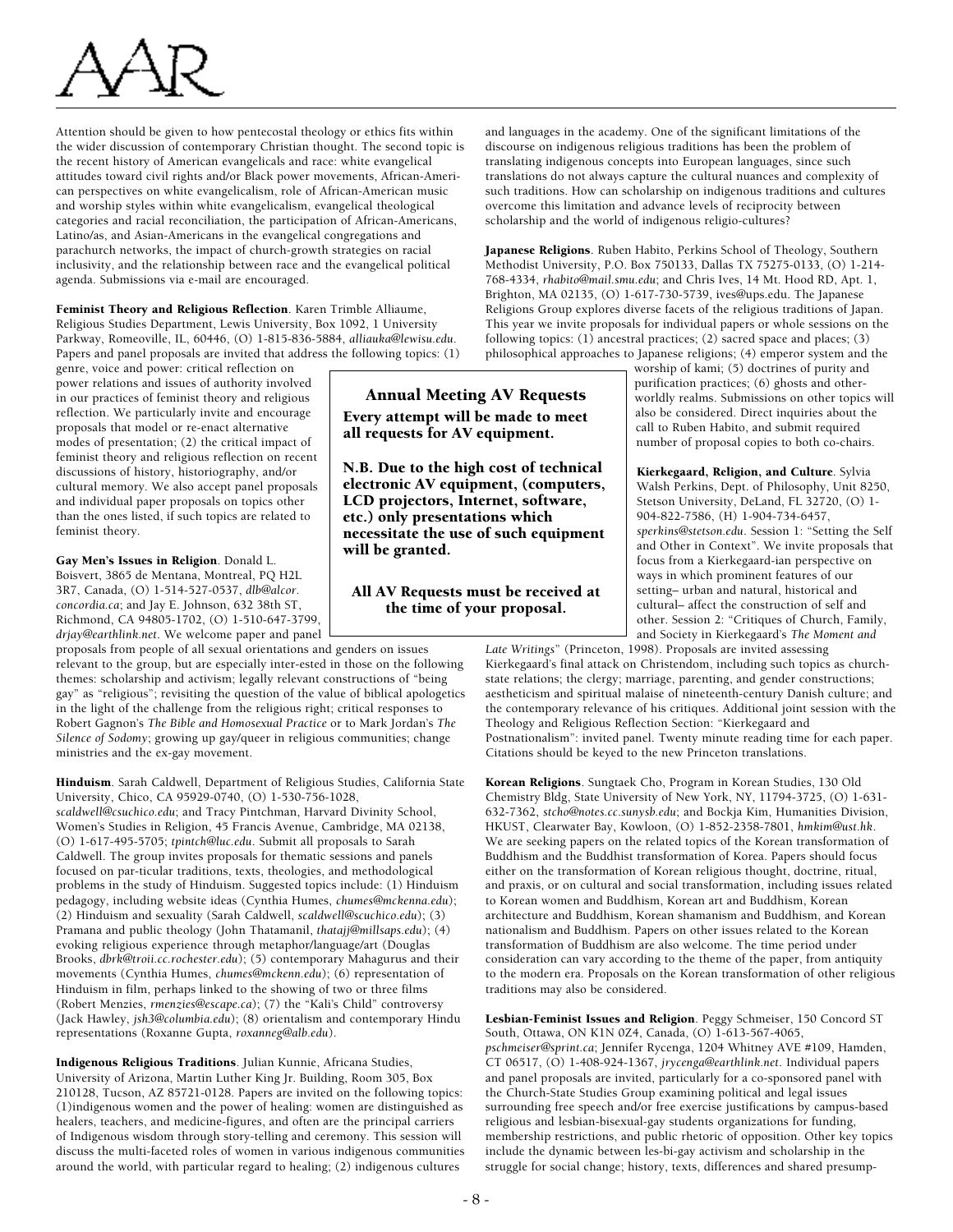Attention should be given to how pentecostal theology or ethics fits within the wider discussion of contemporary Christian thought. The second topic is the recent history of American evangelicals and race: white evangelical attitudes toward civil rights and/or Black power movements, African-American perspectives on white evangelicalism, role of African-American music and worship styles within white evangelicalism, evangelical theological categories and racial reconciliation, the participation of African-Americans, Latino/as, and Asian-Americans in the evangelical congregations and parachurch networks, the impact of church-growth strategies on racial inclusivity, and the relationship between race and the evangelical political agenda. Submissions via e-mail are encouraged.

Feminist Theory and Religious Reflection. Karen Trimble Alliaume, Religious Studies Department, Lewis University, Box 1092, 1 University Parkway, Romeoville, IL, 60446, (O) 1-815-836-5884, *alliauka@lewisu.edu*. Papers and panel proposals are invited that address the following topics: (1)

genre, voice and power: critical reflection on power relations and issues of authority involved in our practices of feminist theory and religious reflection. We particularly invite and encourage proposals that model or re-enact alternative modes of presentation; (2) the critical impact of feminist theory and religious reflection on recent discussions of history, historiography, and/or cultural memory. We also accept panel proposals and individual paper proposals on topics other than the ones listed, if such topics are related to feminist theory.

Gay Men's Issues in Religion. Donald L. Boisvert, 3865 de Mentana, Montreal, PQ H2L

3R7, Canada, (O) 1-514-527-0537, *dlb@alcor. concordia.ca*; and Jay E. Johnson, 632 38th ST, Richmond, CA 94805-1702, (O) 1-510-647-3799, *drjay@earthlink.net*. We welcome paper and panel

proposals from people of all sexual orientations and genders on issues relevant to the group, but are especially inter-ested in those on the following themes: scholarship and activism; legally relevant constructions of "being gay" as "religious"; revisiting the question of the value of biblical apologetics in the light of the challenge from the religious right; critical responses to Robert Gagnon's *The Bible and Homosexual Practice* or to Mark Jordan's *The Silence of Sodomy*; growing up gay/queer in religious communities; change ministries and the ex-gay movement.

Hinduism. Sarah Caldwell, Department of Religious Studies, California State University, Chico, CA 95929-0740, (O) 1-530-756-1028, *scaldwell@csuchico.edu*; and Tracy Pintchman, Harvard Divinity School, Women's Studies in Religion, 45 Francis Avenue, Cambridge, MA 02138, (O) 1-617-495-5705; *tpintch@luc.edu*. Submit all proposals to Sarah Caldwell. The group invites proposals for thematic sessions and panels focused on par-ticular traditions, texts, theologies, and methodological problems in the study of Hinduism. Suggested topics include: (1) Hinduism pedagogy, including website ideas (Cynthia Humes, *chumes@mckenna.edu*); (2) Hinduism and sexuality (Sarah Caldwell, *scaldwell@scuchico.edu*); (3) Pramana and public theology (John Thatamanil, *thatajj@millsaps.edu*); (4) evoking religious experience through metaphor/language/art (Douglas Brooks, *dbrk@troii.cc.rochester.edu*); (5) contemporary Mahagurus and their movements (Cynthia Humes, *chumes@mckenn.edu*); (6) representation of Hinduism in film, perhaps linked to the showing of two or three films (Robert Menzies, *rmenzies@escape.ca*); (7) the "Kali's Child" controversy (Jack Hawley, *jsh3@columbia.edu*); (8) orientalism and contemporary Hindu representations (Roxanne Gupta, *roxanneg@alb.edu*).

Indigenous Religious Traditions. Julian Kunnie, Africana Studies, University of Arizona, Martin Luther King Jr. Building, Room 305, Box 210128, Tucson, AZ 85721-0128. Papers are invited on the following topics: (1)indigenous women and the power of healing: women are distinguished as healers, teachers, and medicine-figures, and often are the principal carriers of Indigenous wisdom through story-telling and ceremony. This session will discuss the multi-faceted roles of women in various indigenous communities around the world, with particular regard to healing; (2) indigenous cultures

and languages in the academy. One of the significant limitations of the discourse on indigenous religious traditions has been the problem of translating indigenous concepts into European languages, since such translations do not always capture the cultural nuances and complexity of such traditions. How can scholarship on indigenous traditions and cultures overcome this limitation and advance levels of reciprocity between scholarship and the world of indigenous religio-cultures?

Japanese Religions. Ruben Habito, Perkins School of Theology, Southern Methodist University, P.O. Box 750133, Dallas TX 75275-0133, (O) 1-214- 768-4334, *rhabito@mail.smu.edu*; and Chris Ives, 14 Mt. Hood RD, Apt. 1, Brighton, MA 02135, (O) 1-617-730-5739, ives@ups.edu. The Japanese Religions Group explores diverse facets of the religious traditions of Japan. This year we invite proposals for individual papers or whole sessions on the following topics: (1) ancestral practices; (2) sacred space and places; (3) philosophical approaches to Japanese religions; (4) emperor system and the

worship of kami; (5) doctrines of purity and purification practices; (6) ghosts and otherworldly realms. Submissions on other topics will also be considered. Direct inquiries about the call to Ruben Habito, and submit required number of proposal copies to both co-chairs.

Kierkegaard, Religion, and Culture. Sylvia Walsh Perkins, Dept. of Philosophy, Unit 8250, Stetson University, DeLand, FL 32720, (O) 1- 904-822-7586, (H) 1-904-734-6457, *sperkins@stetson.edu*. Session 1: "Setting the Self and Other in Context". We invite proposals that focus from a Kierkegaard-ian perspective on ways in which prominent features of our setting– urban and natural, historical and cultural– affect the construction of self and other. Session 2: "Critiques of Church, Family, and Society in Kierkegaard's *The Moment and*

*Late Writings*" (Princeton, 1998). Proposals are invited assessing Kierkegaard's final attack on Christendom, including such topics as churchstate relations; the clergy; marriage, parenting, and gender constructions; aestheticism and spiritual malaise of nineteenth-century Danish culture; and the contemporary relevance of his critiques. Additional joint session with the Theology and Religious Reflection Section: "Kierkegaard and Postnationalism": invited panel. Twenty minute reading time for each paper. Citations should be keyed to the new Princeton translations.

Korean Religions. Sungtaek Cho, Program in Korean Studies, 130 Old Chemistry Bldg, State University of New York, NY, 11794-3725, (O) 1-631- 632-7362, *stcho@notes.cc.sunysb.edu*; and Bockja Kim, Humanities Division, HKUST, Clearwater Bay, Kowloon, (O) 1-852-2358-7801, *hmkim@ust.hk*. We are seeking papers on the related topics of the Korean transformation of Buddhism and the Buddhist transformation of Korea. Papers should focus either on the transformation of Korean religious thought, doctrine, ritual, and praxis, or on cultural and social transformation, including issues related to Korean women and Buddhism, Korean art and Buddhism, Korean architecture and Buddhism, Korean shamanism and Buddhism, and Korean nationalism and Buddhism. Papers on other issues related to the Korean transformation of Buddhism are also welcome. The time period under consideration can vary according to the theme of the paper, from antiquity to the modern era. Proposals on the Korean transformation of other religious traditions may also be considered.

Lesbian-Feminist Issues and Religion. Peggy Schmeiser, 150 Concord ST South, Ottawa, ON K1N 0Z4, Canada, (O) 1-613-567-4065, *pschmeiser@sprint.ca*; Jennifer Rycenga, 1204 Whitney AVE #109, Hamden, CT 06517, (O) 1-408-924-1367, *jrycenga@earthlink.net*. Individual papers and panel proposals are invited, particularly for a co-sponsored panel with the Church-State Studies Group examining political and legal issues surrounding free speech and/or free exercise justifications by campus-based religious and lesbian-bisexual-gay students organizations for funding, membership restrictions, and public rhetoric of opposition. Other key topics include the dynamic between les-bi-gay activism and scholarship in the struggle for social change; history, texts, differences and shared presump-

## Annual Meeting AV Requests Every attempt will be made to meet all requests for AV equipment.

N.B. Due to the high cost of technical electronic AV equipment, (computers, LCD projectors, Internet, software, etc.) only presentations which necessitate the use of such equipment will be granted.

#### All AV Requests must be received at the time of your proposal.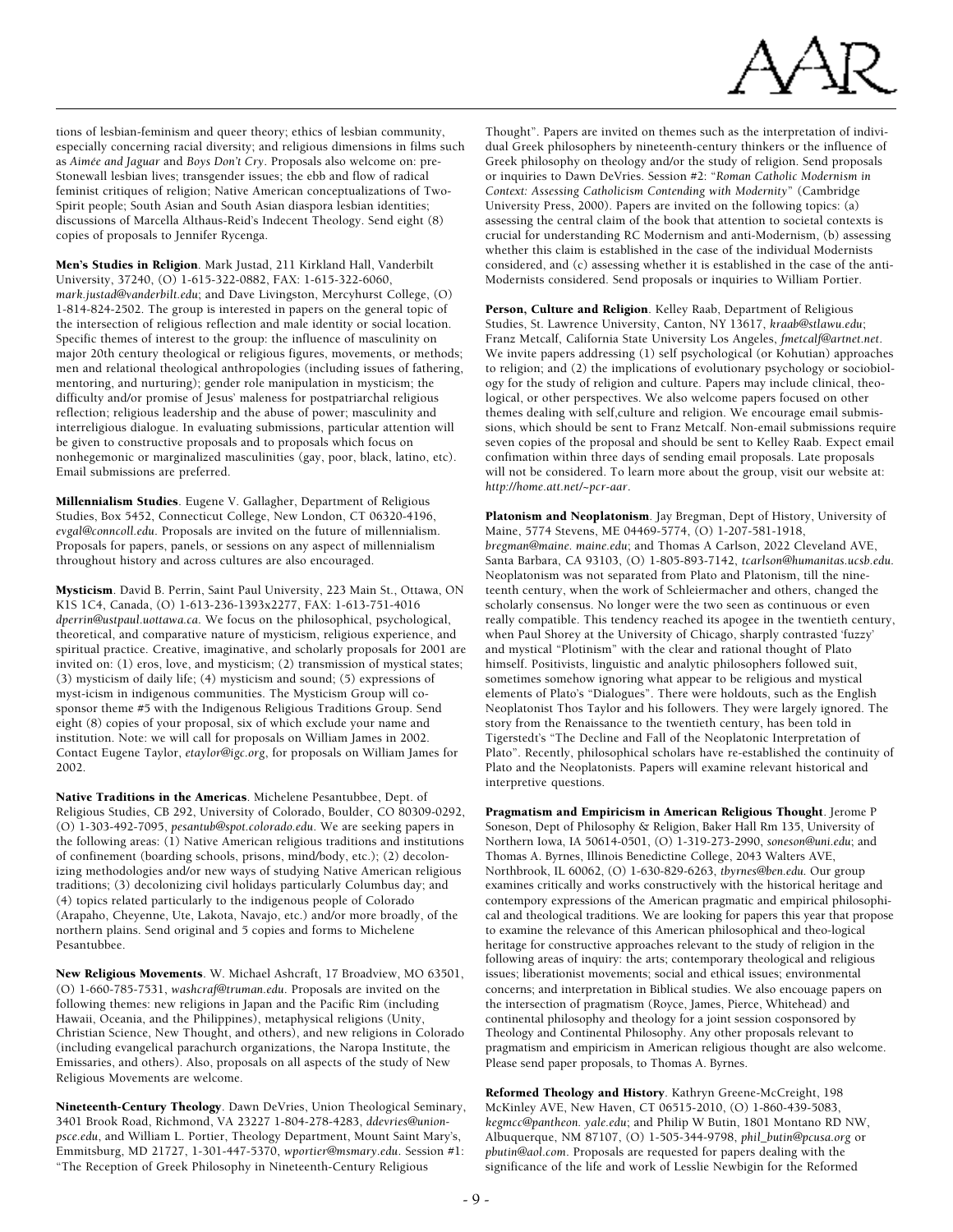

tions of lesbian-feminism and queer theory; ethics of lesbian community, especially concerning racial diversity; and religious dimensions in films such as *Aimée and Jaguar* and *Boys Don't Cry*. Proposals also welcome on: pre-Stonewall lesbian lives; transgender issues; the ebb and flow of radical feminist critiques of religion; Native American conceptualizations of Two-Spirit people; South Asian and South Asian diaspora lesbian identities; discussions of Marcella Althaus-Reid's Indecent Theology. Send eight (8) copies of proposals to Jennifer Rycenga.

Men's Studies in Religion. Mark Justad, 211 Kirkland Hall, Vanderbilt University, 37240, (O) 1-615-322-0882, FAX: 1-615-322-6060, *mark.justad@vanderbilt.edu*; and Dave Livingston, Mercyhurst College, (O) 1-814-824-2502. The group is interested in papers on the general topic of the intersection of religious reflection and male identity or social location. Specific themes of interest to the group: the influence of masculinity on major 20th century theological or religious figures, movements, or methods; men and relational theological anthropologies (including issues of fathering, mentoring, and nurturing); gender role manipulation in mysticism; the difficulty and/or promise of Jesus' maleness for postpatriarchal religious reflection; religious leadership and the abuse of power; masculinity and interreligious dialogue. In evaluating submissions, particular attention will be given to constructive proposals and to proposals which focus on nonhegemonic or marginalized masculinities (gay, poor, black, latino, etc). Email submissions are preferred.

Millennialism Studies. Eugene V. Gallagher, Department of Religious Studies, Box 5452, Connecticut College, New London, CT 06320-4196, *evgal@conncoll.edu*. Proposals are invited on the future of millennialism. Proposals for papers, panels, or sessions on any aspect of millennialism throughout history and across cultures are also encouraged.

Mysticism. David B. Perrin, Saint Paul University, 223 Main St., Ottawa, ON K1S 1C4, Canada, (O) 1-613-236-1393x2277, FAX: 1-613-751-4016 *dperrin@ustpaul.uottawa.ca*. We focus on the philosophical, psychological, theoretical, and comparative nature of mysticism, religious experience, and spiritual practice. Creative, imaginative, and scholarly proposals for 2001 are invited on: (1) eros, love, and mysticism; (2) transmission of mystical states; (3) mysticism of daily life; (4) mysticism and sound; (5) expressions of myst-icism in indigenous communities. The Mysticism Group will cosponsor theme #5 with the Indigenous Religious Traditions Group. Send eight (8) copies of your proposal, six of which exclude your name and institution. Note: we will call for proposals on William James in 2002. Contact Eugene Taylor, *etaylor@igc.org*, for proposals on William James for 2002.

Native Traditions in the Americas. Michelene Pesantubbee, Dept. of Religious Studies, CB 292, University of Colorado, Boulder, CO 80309-0292, (O) 1-303-492-7095, *pesantub@spot.colorado.edu*. We are seeking papers in the following areas: (1) Native American religious traditions and institutions of confinement (boarding schools, prisons, mind/body, etc.); (2) decolonizing methodologies and/or new ways of studying Native American religious traditions; (3) decolonizing civil holidays particularly Columbus day; and (4) topics related particularly to the indigenous people of Colorado (Arapaho, Cheyenne, Ute, Lakota, Navajo, etc.) and/or more broadly, of the northern plains. Send original and 5 copies and forms to Michelene Pesantubbee.

New Religious Movements. W. Michael Ashcraft, 17 Broadview, MO 63501, (O) 1-660-785-7531, *washcraf@truman.edu*. Proposals are invited on the following themes: new religions in Japan and the Pacific Rim (including Hawaii, Oceania, and the Philippines), metaphysical religions (Unity, Christian Science, New Thought, and others), and new religions in Colorado (including evangelical parachurch organizations, the Naropa Institute, the Emissaries, and others). Also, proposals on all aspects of the study of New Religious Movements are welcome.

Nineteenth-Century Theology. Dawn DeVries, Union Theological Seminary, 3401 Brook Road, Richmond, VA 23227 1-804-278-4283, *ddevries@unionpsce.edu*, and William L. Portier, Theology Department, Mount Saint Mary's, Emmitsburg, MD 21727, 1-301-447-5370, *wportier@msmary.edu*. Session #1: "The Reception of Greek Philosophy in Nineteenth-Century Religious

Thought". Papers are invited on themes such as the interpretation of individual Greek philosophers by nineteenth-century thinkers or the influence of Greek philosophy on theology and/or the study of religion. Send proposals or inquiries to Dawn DeVries. Session #2: "*Roman Catholic Modernism in Context: Assessing Catholicism Contending with Modernity*" (Cambridge University Press, 2000). Papers are invited on the following topics: (a) assessing the central claim of the book that attention to societal contexts is crucial for understanding RC Modernism and anti-Modernism, (b) assessing whether this claim is established in the case of the individual Modernists considered, and (c) assessing whether it is established in the case of the anti-Modernists considered. Send proposals or inquiries to William Portier.

Person, Culture and Religion. Kelley Raab, Department of Religious Studies, St. Lawrence University, Canton, NY 13617, *kraab@stlawu.edu*; Franz Metcalf, California State University Los Angeles, *fmetcalf@artnet.net*. We invite papers addressing (1) self psychological (or Kohutian) approaches to religion; and (2) the implications of evolutionary psychology or sociobiology for the study of religion and culture. Papers may include clinical, theological, or other perspectives. We also welcome papers focused on other themes dealing with self,culture and religion. We encourage email submissions, which should be sent to Franz Metcalf. Non-email submissions require seven copies of the proposal and should be sent to Kelley Raab. Expect email confimation within three days of sending email proposals. Late proposals will not be considered. To learn more about the group, visit our website at: *http://home.att.net/~pcr-aar*.

Platonism and Neoplatonism. Jay Bregman, Dept of History, University of Maine, 5774 Stevens, ME 04469-5774, (O) 1-207-581-1918, *bregman@maine. maine.edu*; and Thomas A Carlson, 2022 Cleveland AVE, Santa Barbara, CA 93103, (O) 1-805-893-7142, *tcarlson@humanitas.ucsb.edu*. Neoplatonism was not separated from Plato and Platonism, till the nineteenth century, when the work of Schleiermacher and others, changed the scholarly consensus. No longer were the two seen as continuous or even really compatible. This tendency reached its apogee in the twentieth century, when Paul Shorey at the University of Chicago, sharply contrasted 'fuzzy' and mystical "Plotinism" with the clear and rational thought of Plato himself. Positivists, linguistic and analytic philosophers followed suit, sometimes somehow ignoring what appear to be religious and mystical elements of Plato's "Dialogues". There were holdouts, such as the English Neoplatonist Thos Taylor and his followers. They were largely ignored. The story from the Renaissance to the twentieth century, has been told in Tigerstedt's "The Decline and Fall of the Neoplatonic Interpretation of Plato". Recently, philosophical scholars have re-established the continuity of Plato and the Neoplatonists. Papers will examine relevant historical and interpretive questions.

Pragmatism and Empiricism in American Religious Thought. Jerome P Soneson, Dept of Philosophy & Religion, Baker Hall Rm 135, University of Northern Iowa, IA 50614-0501, (O) 1-319-273-2990, *soneson@uni.edu*; and Thomas A. Byrnes, Illinois Benedictine College, 2043 Walters AVE, Northbrook, IL 60062, (O) 1-630-829-6263, *tbyrnes@ben.edu*. Our group examines critically and works constructively with the historical heritage and contempory expressions of the American pragmatic and empirical philosophical and theological traditions. We are looking for papers this year that propose to examine the relevance of this American philosophical and theo-logical heritage for constructive approaches relevant to the study of religion in the following areas of inquiry: the arts; contemporary theological and religious issues; liberationist movements; social and ethical issues; environmental concerns; and interpretation in Biblical studies. We also encouage papers on the intersection of pragmatism (Royce, James, Pierce, Whitehead) and continental philosophy and theology for a joint session cosponsored by Theology and Continental Philosophy. Any other proposals relevant to pragmatism and empiricism in American religious thought are also welcome. Please send paper proposals, to Thomas A. Byrnes.

Reformed Theology and History. Kathryn Greene-McCreight, 198 McKinley AVE, New Haven, CT 06515-2010, (O) 1-860-439-5083, *kegmcc@pantheon. yale.edu*; and Philip W Butin, 1801 Montano RD NW, Albuquerque, NM 87107, (O) 1-505-344-9798, *phil\_butin@pcusa.org* or *pbutin@aol.com*. Proposals are requested for papers dealing with the significance of the life and work of Lesslie Newbigin for the Reformed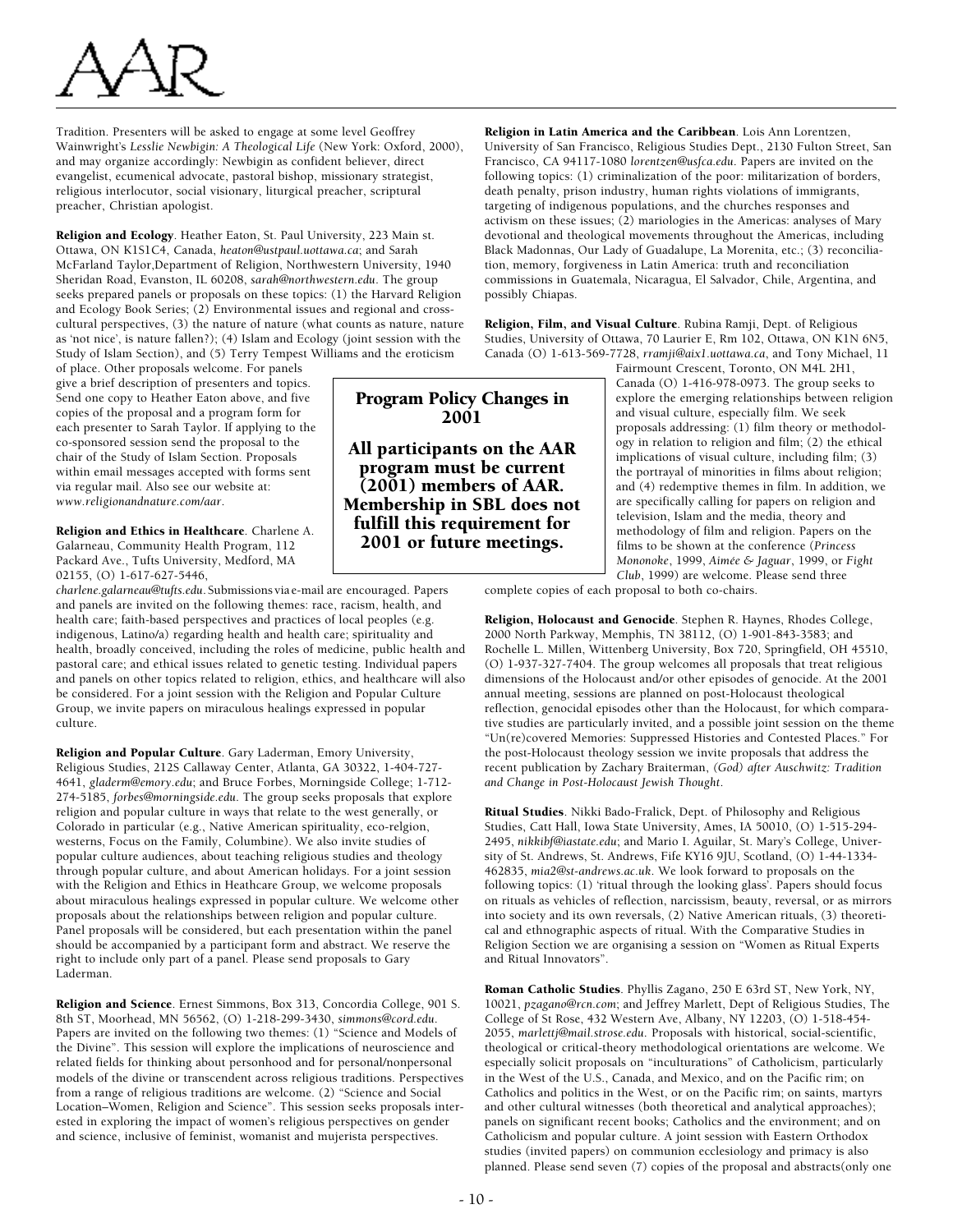Tradition. Presenters will be asked to engage at some level Geoffrey Wainwright's *Lesslie Newbigin: A Theological Life* (New York: Oxford, 2000), and may organize accordingly: Newbigin as confident believer, direct evangelist, ecumenical advocate, pastoral bishop, missionary strategist, religious interlocutor, social visionary, liturgical preacher, scriptural preacher, Christian apologist.

Religion and Ecology. Heather Eaton, St. Paul University, 223 Main st. Ottawa, ON K1S1C4, Canada, *heaton@ustpaul.uottawa.ca*; and Sarah McFarland Taylor,Department of Religion, Northwestern University, 1940 Sheridan Road, Evanston, IL 60208, *sarah@northwestern.edu*. The group seeks prepared panels or proposals on these topics: (1) the Harvard Religion and Ecology Book Series; (2) Environmental issues and regional and crosscultural perspectives, (3) the nature of nature (what counts as nature, nature as 'not nice', is nature fallen?); (4) Islam and Ecology (joint session with the Study of Islam Section), and (5) Terry Tempest Williams and the eroticism

of place. Other proposals welcome. For panels give a brief description of presenters and topics. Send one copy to Heather Eaton above, and five copies of the proposal and a program form for each presenter to Sarah Taylor. If applying to the co-sponsored session send the proposal to the chair of the Study of Islam Section. Proposals within email messages accepted with forms sent via regular mail. Also see our website at: *www.religionandnature.com/aar*.

Religion and Ethics in Healthcare. Charlene A. Galarneau, Community Health Program, 112 Packard Ave., Tufts University, Medford, MA 02155, (O) 1-617-627-5446,

*charlene.galarneau@tufts.edu*. Submissions via e-mail are encouraged. Papers and panels are invited on the following themes: race, racism, health, and health care; faith-based perspectives and practices of local peoples (e.g. indigenous, Latino/a) regarding health and health care; spirituality and health, broadly conceived, including the roles of medicine, public health and pastoral care; and ethical issues related to genetic testing. Individual papers and panels on other topics related to religion, ethics, and healthcare will also be considered. For a joint session with the Religion and Popular Culture Group, we invite papers on miraculous healings expressed in popular culture.

Religion and Popular Culture. Gary Laderman, Emory University, Religious Studies, 212S Callaway Center, Atlanta, GA 30322, 1-404-727- 4641, *gladerm@emory.edu*; and Bruce Forbes, Morningside College; 1-712- 274-5185, *forbes@morningside.edu*. The group seeks proposals that explore religion and popular culture in ways that relate to the west generally, or Colorado in particular (e.g., Native American spirituality, eco-relgion, westerns, Focus on the Family, Columbine). We also invite studies of popular culture audiences, about teaching religious studies and theology through popular culture, and about American holidays. For a joint session with the Religion and Ethics in Heathcare Group, we welcome proposals about miraculous healings expressed in popular culture. We welcome other proposals about the relationships between religion and popular culture. Panel proposals will be considered, but each presentation within the panel should be accompanied by a participant form and abstract. We reserve the right to include only part of a panel. Please send proposals to Gary Laderman.

Religion and Science. Ernest Simmons, Box 313, Concordia College, 901 S. 8th ST, Moorhead, MN 56562, (O) 1-218-299-3430, *simmons@cord.edu*. Papers are invited on the following two themes: (1) "Science and Models of the Divine". This session will explore the implications of neuroscience and related fields for thinking about personhood and for personal/nonpersonal models of the divine or transcendent across religious traditions. Perspectives from a range of religious traditions are welcome. (2) "Science and Social Location–Women, Religion and Science". This session seeks proposals interested in exploring the impact of women's religious perspectives on gender and science, inclusive of feminist, womanist and mujerista perspectives.

Religion in Latin America and the Caribbean. Lois Ann Lorentzen, University of San Francisco, Religious Studies Dept., 2130 Fulton Street, San Francisco, CA 94117-1080 *lorentzen@usfca.edu*. Papers are invited on the following topics: (1) criminalization of the poor: militarization of borders, death penalty, prison industry, human rights violations of immigrants, targeting of indigenous populations, and the churches responses and activism on these issues; (2) mariologies in the Americas: analyses of Mary devotional and theological movements throughout the Americas, including Black Madonnas, Our Lady of Guadalupe, La Morenita, etc.; (3) reconciliation, memory, forgiveness in Latin America: truth and reconciliation commissions in Guatemala, Nicaragua, El Salvador, Chile, Argentina, and possibly Chiapas.

Religion, Film, and Visual Culture. Rubina Ramji, Dept. of Religious Studies, University of Ottawa, 70 Laurier E, Rm 102, Ottawa, ON K1N 6N5, Canada (O) 1-613-569-7728, *rramji@aix1.uottawa.ca*, and Tony Michael, 11

Fairmount Crescent, Toronto, ON M4L 2H1, Canada (O) 1-416-978-0973. The group seeks to explore the emerging relationships between religion and visual culture, especially film. We seek proposals addressing: (1) film theory or methodology in relation to religion and film; (2) the ethical implications of visual culture, including film; (3) the portrayal of minorities in films about religion; and (4) redemptive themes in film. In addition, we are specifically calling for papers on religion and television, Islam and the media, theory and methodology of film and religion. Papers on the films to be shown at the conference (*Princess Mononoke*, 1999, *Aimée & Jaguar*, 1999, or *Fight Club*, 1999) are welcome. Please send three

complete copies of each proposal to both co-chairs.

Religion, Holocaust and Genocide. Stephen R. Haynes, Rhodes College, 2000 North Parkway, Memphis, TN 38112, (O) 1-901-843-3583; and Rochelle L. Millen, Wittenberg University, Box 720, Springfield, OH 45510, (O) 1-937-327-7404. The group welcomes all proposals that treat religious dimensions of the Holocaust and/or other episodes of genocide. At the 2001 annual meeting, sessions are planned on post-Holocaust theological reflection, genocidal episodes other than the Holocaust, for which comparative studies are particularly invited, and a possible joint session on the theme "Un(re)covered Memories: Suppressed Histories and Contested Places." For the post-Holocaust theology session we invite proposals that address the recent publication by Zachary Braiterman, *(God) after Auschwitz: Tradition and Change in Post-Holocaust Jewish Thought*.

Ritual Studies. Nikki Bado-Fralick, Dept. of Philosophy and Religious Studies, Catt Hall, Iowa State University, Ames, IA 50010, (O) 1-515-294- 2495, *nikkibf@iastate.edu*; and Mario I. Aguilar, St. Mary's College, University of St. Andrews, St. Andrews, Fife KY16 9JU, Scotland, (O) 1-44-1334- 462835, *mia2@st-andrews.ac.uk*. We look forward to proposals on the following topics: (1) 'ritual through the looking glass'. Papers should focus on rituals as vehicles of reflection, narcissism, beauty, reversal, or as mirrors into society and its own reversals, (2) Native American rituals, (3) theoretical and ethnographic aspects of ritual. With the Comparative Studies in Religion Section we are organising a session on "Women as Ritual Experts and Ritual Innovators".

Roman Catholic Studies. Phyllis Zagano, 250 E 63rd ST, New York, NY, 10021, *pzagano@rcn.com*; and Jeffrey Marlett, Dept of Religious Studies, The College of St Rose, 432 Western Ave, Albany, NY 12203, (O) 1-518-454- 2055, *marlettj@mail.strose.edu*. Proposals with historical, social-scientific, theological or critical-theory methodological orientations are welcome. We especially solicit proposals on "inculturations" of Catholicism, particularly in the West of the U.S., Canada, and Mexico, and on the Pacific rim; on Catholics and politics in the West, or on the Pacific rim; on saints, martyrs and other cultural witnesses (both theoretical and analytical approaches); panels on significant recent books; Catholics and the environment; and on Catholicism and popular culture. A joint session with Eastern Orthodox studies (invited papers) on communion ecclesiology and primacy is also planned. Please send seven (7) copies of the proposal and abstracts(only one

# Program Policy Changes in 2001

All participants on the AAR program must be current (2001) members of AAR. Membership in SBL does not fulfill this requirement for 2001 or future meetings.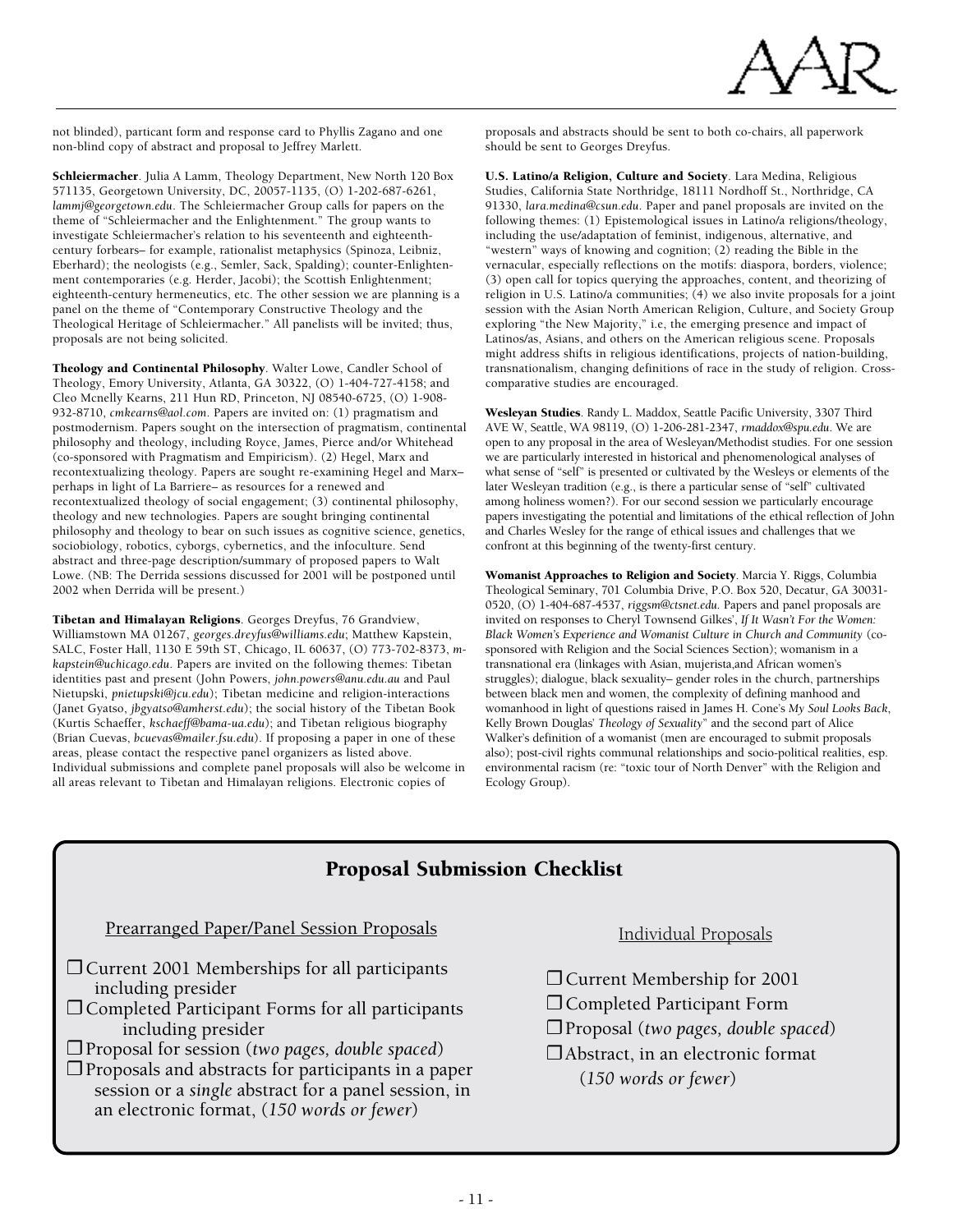

not blinded), particant form and response card to Phyllis Zagano and one non-blind copy of abstract and proposal to Jeffrey Marlett.

Schleiermacher. Julia A Lamm, Theology Department, New North 120 Box 571135, Georgetown University, DC, 20057-1135, (O) 1-202-687-6261, *lammj@georgetown.edu*. The Schleiermacher Group calls for papers on the theme of "Schleiermacher and the Enlightenment." The group wants to investigate Schleiermacher's relation to his seventeenth and eighteenthcentury forbears– for example, rationalist metaphysics (Spinoza, Leibniz, Eberhard); the neologists (e.g., Semler, Sack, Spalding); counter-Enlightenment contemporaries (e.g. Herder, Jacobi); the Scottish Enlightenment; eighteenth-century hermeneutics, etc. The other session we are planning is a panel on the theme of "Contemporary Constructive Theology and the Theological Heritage of Schleiermacher." All panelists will be invited; thus, proposals are not being solicited.

Theology and Continental Philosophy. Walter Lowe, Candler School of Theology, Emory University, Atlanta, GA 30322, (O) 1-404-727-4158; and Cleo Mcnelly Kearns, 211 Hun RD, Princeton, NJ 08540-6725, (O) 1-908- 932-8710, *cmkearns@aol.com*. Papers are invited on: (1) pragmatism and postmodernism. Papers sought on the intersection of pragmatism, continental philosophy and theology, including Royce, James, Pierce and/or Whitehead (co-sponsored with Pragmatism and Empiricism). (2) Hegel, Marx and recontextualizing theology. Papers are sought re-examining Hegel and Marx– perhaps in light of La Barriere– as resources for a renewed and recontextualized theology of social engagement; (3) continental philosophy, theology and new technologies. Papers are sought bringing continental philosophy and theology to bear on such issues as cognitive science, genetics, sociobiology, robotics, cyborgs, cybernetics, and the infoculture. Send abstract and three-page description/summary of proposed papers to Walt Lowe. (NB: The Derrida sessions discussed for 2001 will be postponed until 2002 when Derrida will be present.)

Tibetan and Himalayan Religions. Georges Dreyfus, 76 Grandview, Williamstown MA 01267, *georges.dreyfus@williams.edu*; Matthew Kapstein, SALC, Foster Hall, 1130 E 59th ST, Chicago, IL 60637, (O) 773-702-8373, *mkapstein@uchicago.edu*. Papers are invited on the following themes: Tibetan identities past and present (John Powers, *john.powers@anu.edu.au* and Paul Nietupski, *pnietupski@jcu.edu*); Tibetan medicine and religion-interactions (Janet Gyatso, *jbgyatso@amherst.edu*); the social history of the Tibetan Book (Kurtis Schaeffer, *kschaeff@bama-ua.edu*); and Tibetan religious biography (Brian Cuevas, *bcuevas@mailer.fsu.edu*). If proposing a paper in one of these areas, please contact the respective panel organizers as listed above. Individual submissions and complete panel proposals will also be welcome in all areas relevant to Tibetan and Himalayan religions. Electronic copies of

proposals and abstracts should be sent to both co-chairs, all paperwork should be sent to Georges Dreyfus.

U.S. Latino/a Religion, Culture and Society. Lara Medina, Religious Studies, California State Northridge, 18111 Nordhoff St., Northridge, CA 91330, *lara.medina@csun.edu*. Paper and panel proposals are invited on the following themes: (1) Epistemological issues in Latino/a religions/theology, including the use/adaptation of feminist, indigenous, alternative, and "western" ways of knowing and cognition; (2) reading the Bible in the vernacular, especially reflections on the motifs: diaspora, borders, violence; (3) open call for topics querying the approaches, content, and theorizing of religion in U.S. Latino/a communities; (4) we also invite proposals for a joint session with the Asian North American Religion, Culture, and Society Group exploring "the New Majority," i.e, the emerging presence and impact of Latinos/as, Asians, and others on the American religious scene. Proposals might address shifts in religious identifications, projects of nation-building, transnationalism, changing definitions of race in the study of religion. Crosscomparative studies are encouraged.

Wesleyan Studies. Randy L. Maddox, Seattle Pacific University, 3307 Third AVE W, Seattle, WA 98119, (O) 1-206-281-2347, *rmaddox@spu.edu*. We are open to any proposal in the area of Wesleyan/Methodist studies. For one session we are particularly interested in historical and phenomenological analyses of what sense of "self" is presented or cultivated by the Wesleys or elements of the later Wesleyan tradition (e.g., is there a particular sense of "self" cultivated among holiness women?). For our second session we particularly encourage papers investigating the potential and limitations of the ethical reflection of John and Charles Wesley for the range of ethical issues and challenges that we confront at this beginning of the twenty-first century.

Womanist Approaches to Religion and Society. Marcia Y. Riggs, Columbia Theological Seminary, 701 Columbia Drive, P.O. Box 520, Decatur, GA 30031- 0520, (O) 1-404-687-4537, *riggsm@ctsnet.edu*. Papers and panel proposals are invited on responses to Cheryl Townsend Gilkes', *If It Wasn't For the Women: Black Women's Experience and Womanist Culture in Church and Community* (cosponsored with Religion and the Social Sciences Section); womanism in a transnational era (linkages with Asian, mujerista,and African women's struggles); dialogue, black sexuality– gender roles in the church, partnerships between black men and women, the complexity of defining manhood and womanhood in light of questions raised in James H. Cone's *My Soul Looks Back*, Kelly Brown Douglas' *Theology of Sexuality*" and the second part of Alice Walker's definition of a womanist (men are encouraged to submit proposals also); post-civil rights communal relationships and socio-political realities, esp. environmental racism (re: "toxic tour of North Denver" with the Religion and Ecology Group).

# Proposal Submission Checklist

### Prearranged Paper/Panel Session Proposals

- ❐ Current 2001 Memberships for all participants including presider
- ❐ Completed Participant Forms for all participants including presider
- ❐ Proposal for session (*two pages, double spaced*)
- $\Box$  Proposals and abstracts for participants in a paper session or a *single* abstract for a panel session, in an electronic format, (*150 words or fewer*)

Individual Proposals

- ❐ Current Membership for 2001
- ❐ Completed Participant Form
- ❐ Proposal (*two pages, double spaced*)
- ❐ Abstract, in an electronic format

(*150 words or fewer*)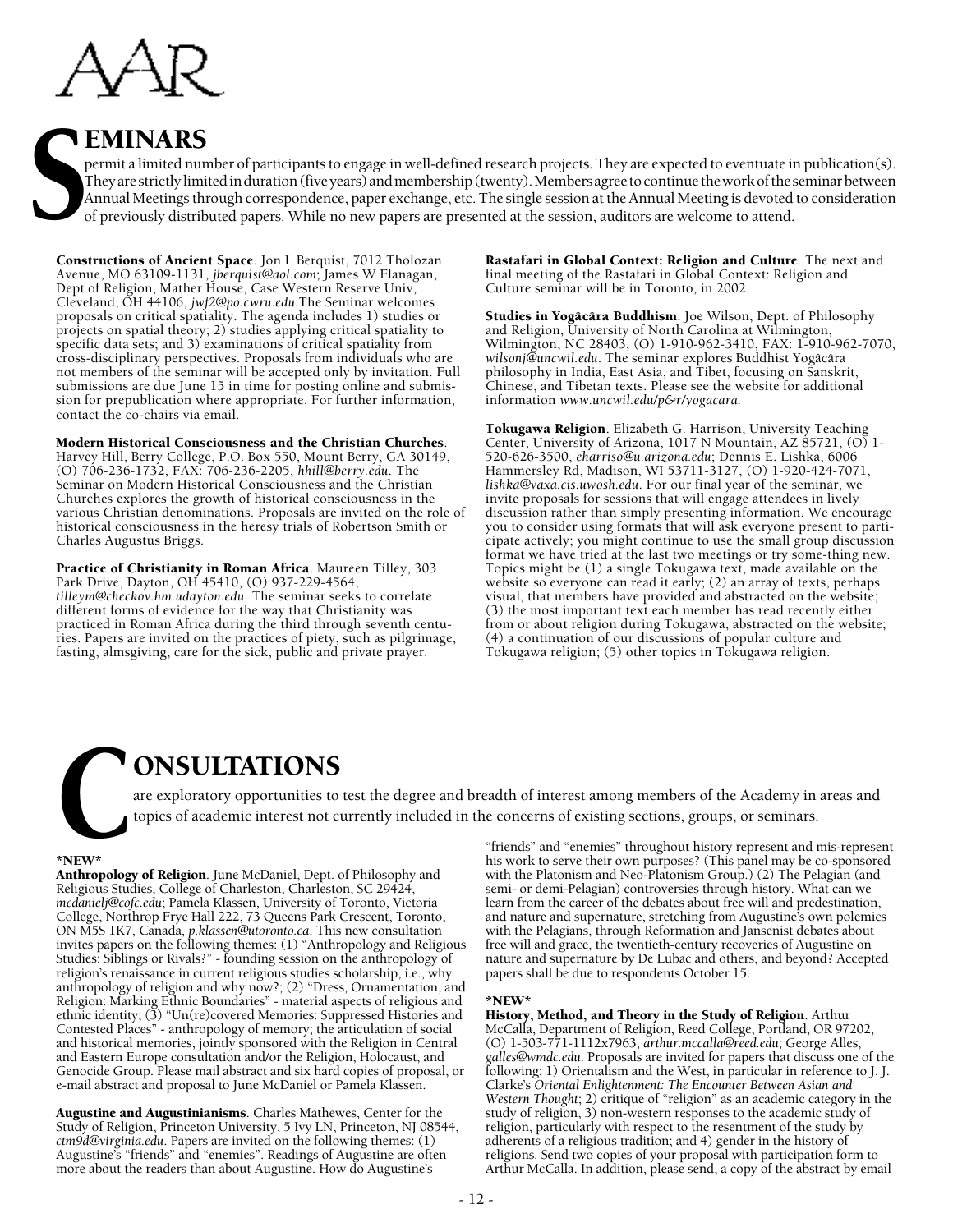

# **I EMINARS**

permit a limited number of participants to engage in well-defined research projects. They are expected to eventuate in publication(s). They are strictly limited in duration (five years) and membership (twenty). Members agree to continue the work of the seminar between Annual Meetings through correspondence, paper exchange, etc. The single session at the Annual Meeting is devoted to consideration of previously distributed papers. While no new papers are presented at the session, auditors are welcome to attend.

Constructions of Ancient Space. Jon L Berquist, 7012 Tholozan Avenue, MO 63109-1131, *jberquist@aol.com*; James W Flanagan, Dept of Religion, Mather House, Case Western Reserve Univ, Cleveland, OH 44106, *jwf2@po.cwru.edu*.The Seminar welcomes proposals on critical spatiality. The agenda includes 1) studies or projects on spatial theory; 2) studies applying critical spatiality to specific data sets; and 3) examinations of critical spatiality from cross-disciplinary perspectives. Proposals from individuals who are not members of the seminar will be accepted only by invitation. Full submissions are due June 15 in time for posting online and submission for prepublication where appropriate. For further information, contact the co-chairs via email.

Modern Historical Consciousness and the Christian Churches. Harvey Hill, Berry College, P.O. Box 550, Mount Berry, GA 30149, (O) 706-236-1732, FAX: 706-236-2205, *hhill@berry.edu*. The Seminar on Modern Historical Consciousness and the Christian Churches explores the growth of historical consciousness in the various Christian denominations. Proposals are invited on the role of historical consciousness in the heresy trials of Robertson Smith or Charles Augustus Briggs.

Practice of Christianity in Roman Africa. Maureen Tilley, 303 Park Drive, Dayton, OH 45410, (O) 937-229-4564, *tilleym@checkov.hm.udayton.edu*. The seminar seeks to correlate different forms of evidence for the way that Christianity was practiced in Roman Africa during the third through seventh centuries. Papers are invited on the practices of piety, such as pilgrimage, fasting, almsgiving, care for the sick, public and private prayer.

Rastafari in Global Context: Religion and Culture. The next and final meeting of the Rastafari in Global Context: Religion and Culture seminar will be in Toronto, in 2002.

Studies in Yogâcâra Buddhism. Joe Wilson, Dept. of Philosophy and Religion, University of North Carolina at Wilmington, Wilmington, NC 28403, (O) 1-910-962-3410, FAX: 1-910-962-7070, *wilsonj@uncwil.edu*. The seminar explores Buddhist Yogâcâra philosophy in India, East Asia, and Tibet, focusing on Sanskrit, Chinese, and Tibetan texts. Please see the website for additional information *www.uncwil.edu/p&r/yogacara*.

Tokugawa Religion. Elizabeth G. Harrison, University Teaching Center, University of Arizona, 1017 N Mountain, AZ 85721, (O) 1-520-626-3500, *eharriso@u.arizona.edu*; Dennis E. Lishka, 6006 Hammersley Rd, Madison, WI 53711-3127, (O) 1-920-424-7071, *lishka@vaxa.cis.uwosh.edu*. For our final year of the seminar, we invite proposals for sessions that will engage attendees in lively discussion rather than simply presenting information. We encourage you to consider using formats that will ask everyone present to participate actively; you might continue to use the small group discussion format we have tried at the last two meetings or try some-thing new. Topics might be (1) a single Tokugawa text, made available on the website so everyone can read it early; (2) an array of texts, perhaps visual, that members have provided and abstracted on the website; (3) the most important text each member has read recently either from or about religion during Tokugawa, abstracted on the website; (4) a continuation of our discussions of popular culture and Tokugawa religion; (5) other topics in Tokugawa religion.

# ONSULTATIONS

are exploratory opportunities to test the degree and breadth of interest among members of the Academy in areas and<br>topics of academic interest not currently included in the concerns of existing sections, groups, or seminar

#### \*NEW\*

Anthropology of Religion. June McDaniel, Dept. of Philosophy and Religious Studies, College of Charleston, Charleston, SC 29424, *mcdanielj@cofc.edu*; Pamela Klassen, University of Toronto, Victoria College, Northrop Frye Hall 222, 73 Queens Park Crescent, Toronto, ON M5S 1K7, Canada, *p.klassen@utoronto.ca*. This new consultation invites papers on the following themes: (1) "Anthropology and Religious Studies: Siblings or Rivals?" - founding session on the anthropology of religion's renaissance in current religious studies scholarship, i.e., why anthropology of religion and why now?; (2) "Dress, Ornamentation, and Religion: Marking Ethnic Boundaries" - material aspects of religious and ethnic identity; (3) "Un(re)covered Memories: Suppressed Histories and Contested Places" - anthropology of memory; the articulation of social and historical memories, jointly sponsored with the Religion in Central and Eastern Europe consultation and/or the Religion, Holocaust, and Genocide Group. Please mail abstract and six hard copies of proposal, or e-mail abstract and proposal to June McDaniel or Pamela Klassen.

Augustine and Augustinianisms. Charles Mathewes, Center for the Study of Religion, Princeton University, 5 Ivy LN, Princeton, NJ 08544, *ctm9d@virginia.edu*. Papers are invited on the following themes: (1) Augustine's "friends" and "enemies". Readings of Augustine are often more about the readers than about Augustine. How do Augustine's

"friends" and "enemies" throughout history represent and mis-represent his work to serve their own purposes? (This panel may be co-sponsored with the Platonism and Neo-Platonism Group.) (2) The Pelagian (and semi- or demi-Pelagian) controversies through history. What can we learn from the career of the debates about free will and predestination, and nature and supernature, stretching from Augustine's own polemics with the Pelagians, through Reformation and Jansenist debates about free will and grace, the twentieth-century recoveries of Augustine on nature and supernature by De Lubac and others, and beyond? Accepted papers shall be due to respondents October 15.

#### \*NEW\*

History, Method, and Theory in the Study of Religion. Arthur McCalla, Department of Religion, Reed College, Portland, OR 97202, (O) 1-503-771-1112x7963, *arthur.mccalla@reed.edu*; George Alles, *galles@wmdc.edu*. Proposals are invited for papers that discuss one of the following: 1) Orientalism and the West, in particular in reference to J. J. Clarke's *Oriental Enlightenment: The Encounter Between Asian and Western Thought*; 2) critique of "religion" as an academic category in the study of religion, 3) non-western responses to the academic study of religion, particularly with respect to the resentment of the study by adherents of a religious tradition; and 4) gender in the history of religions. Send two copies of your proposal with participation form to Arthur McCalla. In addition, please send, a copy of the abstract by email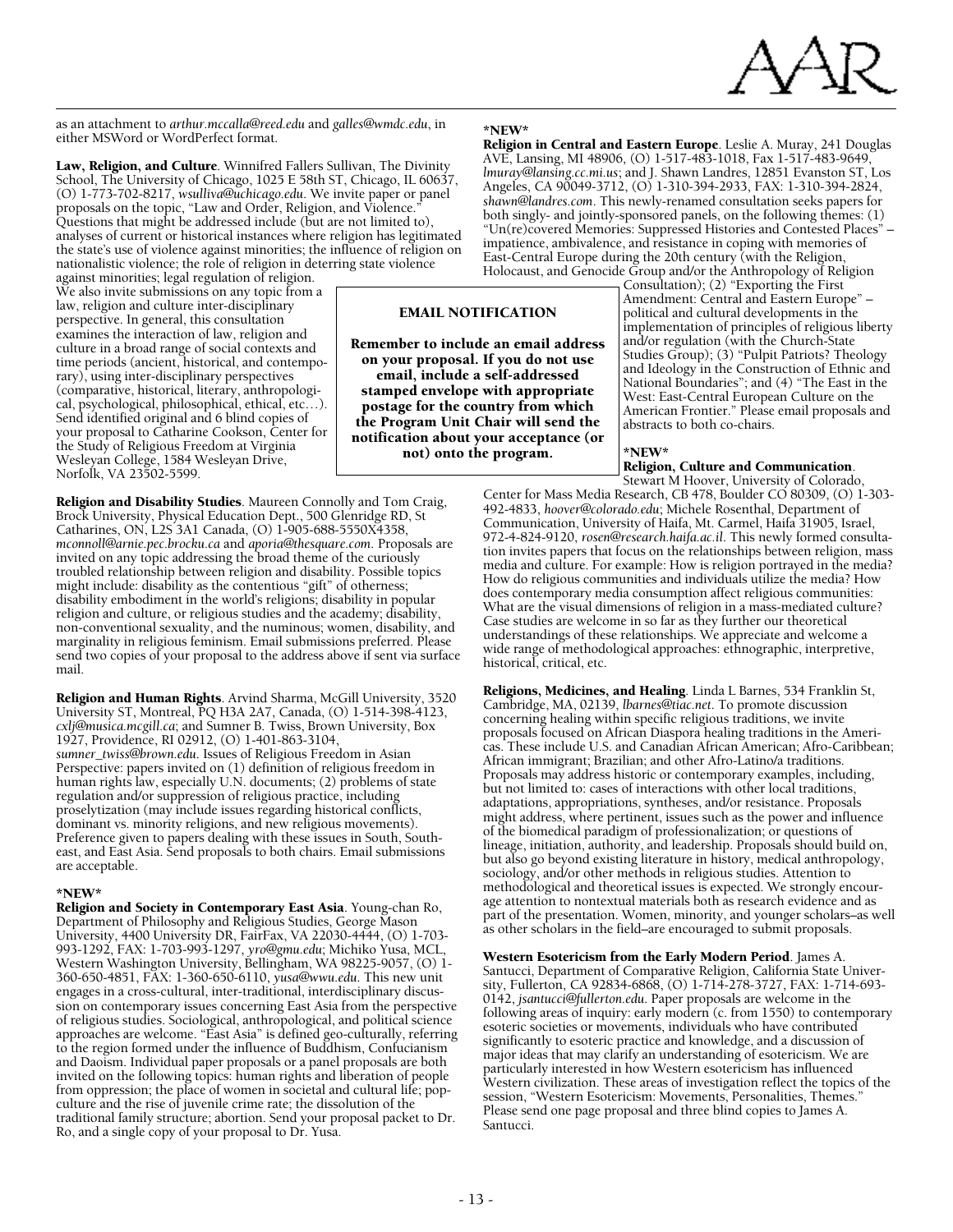

as an attachment to *arthur.mccalla@reed.edu* and *galles@wmdc.edu*, in either MSWord or WordPerfect format.

Law, Religion, and Culture. Winnifred Fallers Sullivan, The Divinity School, The University of Chicago, 1025 E 58th ST, Chicago, IL 60637, (O) 1-773-702-8217, *wsulliva@uchicago.edu*. We invite paper or panel proposals on the topic, "Law and Order, Religion, and Violence. Questions that might be addressed include (but are not limited to), analyses of current or historical instances where religion has legitimated the state's use of violence against minorities; the influence of religion on nationalistic violence; the role of religion in deterring state violence

against minorities; legal regulation of religion. We also invite submissions on any topic from a law, religion and culture inter-disciplinary perspective. In general, this consultation examines the interaction of law, religion and culture in a broad range of social contexts and time periods (ancient, historical, and contemporary), using inter-disciplinary perspectives (comparative, historical, literary, anthropological, psychological, philosophical, ethical, etc…). Send identified original and 6 blind copies of your proposal to Catharine Cookson, Center for the Study of Religious Freedom at Virginia Wesleyan College, 1584 Wesleyan Drive, Norfolk, VA 23502-5599.

Religion and Disability Studies. Maureen Connolly and Tom Craig, Brock University, Physical Education Dept., 500 Glenridge RD, St Catharines, ON, L2S 3A1 Canada, (O) 1-905-688-5550X4358, *mconnoll@arnie.pec.brocku.ca* and *aporia@thesquare.com*. Proposals are invited on any topic addressing the broad theme of the curiously troubled relationship between religion and disability. Possible topics might include: disability as the contentious "gift" of otherness; disability embodiment in the world's religions; disability in popular religion and culture, or religious studies and the academy; disability, non-conventional sexuality, and the numinous; women, disability, and marginality in religious feminism. Email submissions preferred. Please send two copies of your proposal to the address above if sent via surface mail.

Religion and Human Rights. Arvind Sharma, McGill University, 3520 University ST, Montreal, PQ H3A 2A7, Canada, (O) 1-514-398-4123, *cxlj@musica.mcgill.ca*; and Sumner B. Twiss, Brown University, Box 1927, Providence, RI 02912, (O) 1-401-863-3104, *sumner\_twiss@brown.edu*. Issues of Religious Freedom in Asian Perspective: papers invited on (1) definition of religious freedom in human rights law, especially U.N. documents; (2) problems of state regulation and/or suppression of religious practice, including proselytization (may include issues regarding historical conflicts, dominant vs. minority religions, and new religious movements). Preference given to papers dealing with these issues in South, Southeast, and East Asia. Send proposals to both chairs. Email submissions are acceptable.

#### \*NEW\*

Religion and Society in Contemporary East Asia. Young-chan Ro, Department of Philosophy and Religious Studies, George Mason University, 4400 University DR, FairFax, VA 22030-4444, (O) 1-703- 993-1292, FAX: 1-703-993-1297, *yro@gmu.edu*; Michiko Yusa, MCL, Western Washington University, Bellingham, WA 98225-9057, (O) 1- 360-650-4851, FAX: 1-360-650-6110, *yusa@wwu.edu*. This new unit engages in a cross-cultural, inter-traditional, interdisciplinary discussion on contemporary issues concerning East Asia from the perspective of religious studies. Sociological, anthropological, and political science approaches are welcome. "East Asia" is defined geo-culturally, referring to the region formed under the influence of Buddhism, Confucianism and Daoism. Individual paper proposals or a panel proposals are both invited on the following topics: human rights and liberation of people from oppression; the place of women in societal and cultural life; popculture and the rise of juvenile crime rate; the dissolution of the traditional family structure; abortion. Send your proposal packet to Dr. Ro, and a single copy of your proposal to Dr. Yusa.

#### \*NEW\*

Religion in Central and Eastern Europe. Leslie A. Muray, 241 Douglas AVE, Lansing, MI 48906, (O) 1-517-483-1018, Fax 1-517-483-9649, *lmuray@lansing.cc.mi.us*; and J. Shawn Landres, 12851 Evanston ST, Los Angeles, CA 90049-3712, (O) 1-310-394-2933, FAX: 1-310-394-2824, *shawn@landres.com*. This newly-renamed consultation seeks papers for both singly- and jointly-sponsored panels, on the following themes: (1) "Un(re)covered Memories: Suppressed Histories and Contested Places" – impatience, ambivalence, and resistance in coping with memories of East-Central Europe during the 20th century (with the Religion, Holocaust, and Genocide Group and/or the Anthropology of Religion Consultation); (2) "Exporting the First

EMAIL NOTIFICATION

Remember to include an email address on your proposal. If you do not use email, include a self-addressed stamped envelope with appropriate postage for the country from which the Program Unit Chair will send the notification about your acceptance (or not) onto the program.

Amendment: Central and Eastern Europe" – political and cultural developments in the implementation of principles of religious liberty and/or regulation (with the Church-State Studies Group); (3) "Pulpit Patriots? Theology and Ideology in the Construction of Ethnic and National Boundaries"; and (4) "The East in the West: East-Central European Culture on the American Frontier." Please email proposals and abstracts to both co-chairs.

# \*NEW\*

Religion, Culture and Communication. Stewart M Hoover, University of Colorado,

Center for Mass Media Research, CB 478, Boulder CO 80309, (O) 1-303-492-4833, *hoover@colorado.edu*; Michele Rosenthal, Department of Communication, University of Haifa, Mt. Carmel, Haifa 31905, Israel, 972-4-824-9120, *rosen@research.haifa.ac.il*. This newly formed consultation invites papers that focus on the relationships between religion, mass media and culture. For example: How is religion portrayed in the media? How do religious communities and individuals utilize the media? How does contemporary media consumption affect religious communities: What are the visual dimensions of religion in a mass-mediated culture? Case studies are welcome in so far as they further our theoretical understandings of these relationships. We appreciate and welcome a wide range of methodological approaches: ethnographic, interpretive, historical, critical, etc.

Religions, Medicines, and Healing. Linda L Barnes, 534 Franklin St, Cambridge, MA, 02139, *lbarnes@tiac.net*. To promote discussion concerning healing within specific religious traditions, we invite proposals focused on African Diaspora healing traditions in the Americas. These include U.S. and Canadian African American; Afro-Caribbean; African immigrant; Brazilian; and other Afro-Latino/a traditions. Proposals may address historic or contemporary examples, including, but not limited to: cases of interactions with other local traditions, adaptations, appropriations, syntheses, and/or resistance. Proposals might address, where pertinent, issues such as the power and influence of the biomedical paradigm of professionalization; or questions of lineage, initiation, authority, and leadership. Proposals should build on, but also go beyond existing literature in history, medical anthropology, sociology, and/or other methods in religious studies. Attention to methodological and theoretical issues is expected. We strongly encourage attention to nontextual materials both as research evidence and as part of the presentation. Women, minority, and younger scholars–as well as other scholars in the field–are encouraged to submit proposals.

Western Esotericism from the Early Modern Period. James A. Santucci, Department of Comparative Religion, California State University, Fullerton, CA 92834-6868, (O) 1-714-278-3727, FAX: 1-714-693- 0142, *jsantucci@fullerton.edu*. Paper proposals are welcome in the following areas of inquiry: early modern (c. from 1550) to contemporary esoteric societies or movements, individuals who have contributed significantly to esoteric practice and knowledge, and a discussion of major ideas that may clarify an understanding of esotericism. We are particularly interested in how Western esotericism has influenced Western civilization. These areas of investigation reflect the topics of the session, "Western Esotericism: Movements, Personalities, Themes." Please send one page proposal and three blind copies to James A. Santucci.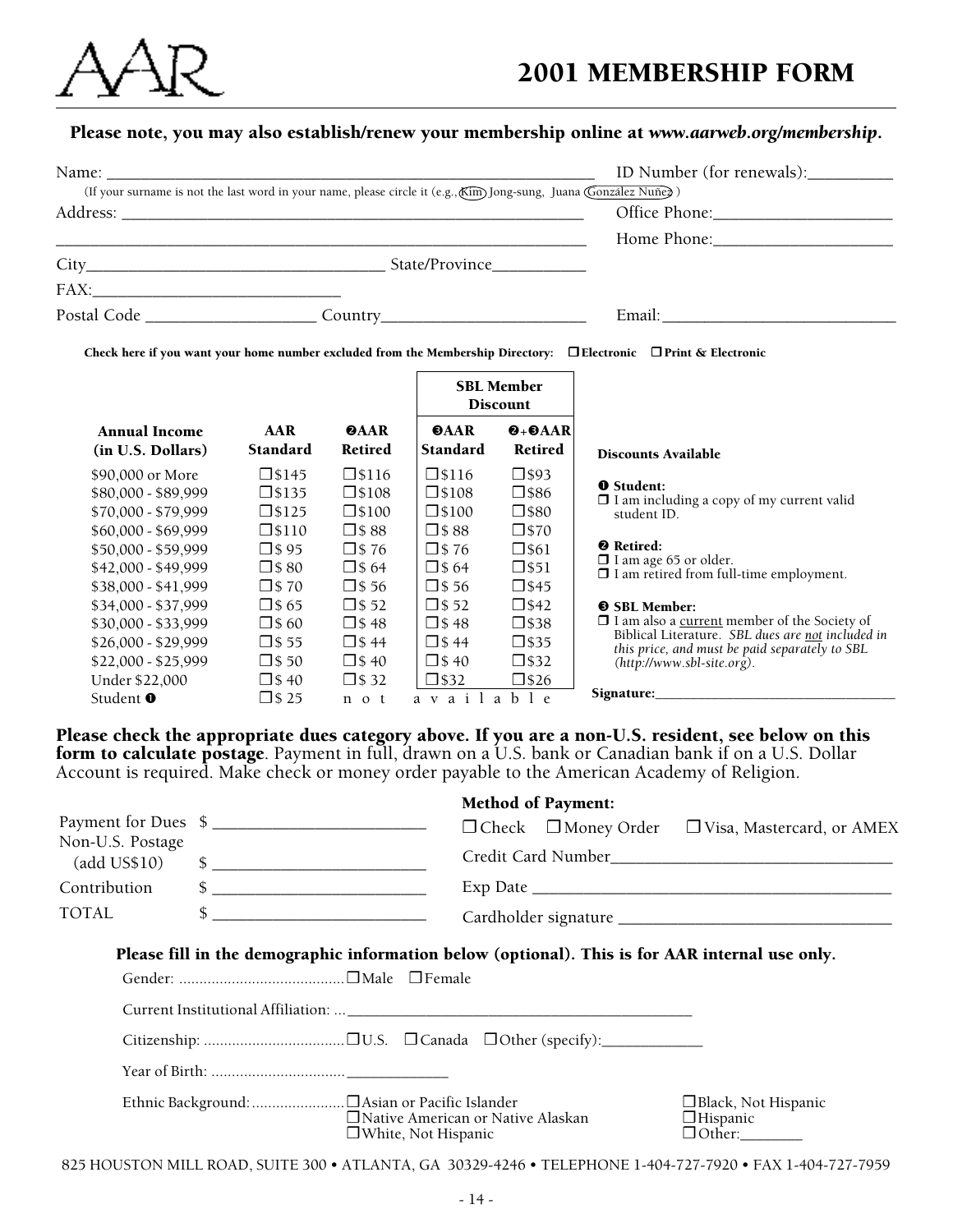

# Please note, you may also establish/renew your membership online at *www.aarweb.org/membership*.

|                                                                                                        |                                                                                                                             |                                      | ID Number (for renewals): |
|--------------------------------------------------------------------------------------------------------|-----------------------------------------------------------------------------------------------------------------------------|--------------------------------------|---------------------------|
|                                                                                                        | (If your surname is not the last word in your name, please circle it (e.g., Kim) Jong-sung, Juana (González Nuñez)          |                                      |                           |
|                                                                                                        |                                                                                                                             |                                      |                           |
|                                                                                                        |                                                                                                                             |                                      |                           |
|                                                                                                        |                                                                                                                             |                                      |                           |
| $FAX: \begin{tabular}{ c c c } \hline \quad \quad & \quad \quad & \quad \quad \\ \hline \end{tabular}$ |                                                                                                                             |                                      |                           |
|                                                                                                        | Postal Code ____________________________ Country________________________________                                            |                                      |                           |
|                                                                                                        | Check here if you want your home number excluded from the Membership Directory: $\Box$ Electronic $\Box$ Print & Electronic | <b>SBL Member</b><br><b>Discount</b> |                           |

|                                                                                          |                                                                  |                                                                    |                                                                        | DISCOUND                                                             |                                                                                                         |
|------------------------------------------------------------------------------------------|------------------------------------------------------------------|--------------------------------------------------------------------|------------------------------------------------------------------------|----------------------------------------------------------------------|---------------------------------------------------------------------------------------------------------|
| <b>Annual Income</b>                                                                     | AAR                                                              | <b>@AAR</b>                                                        | <b>OAAR</b>                                                            | $\mathbf{0} + \mathbf{0}$ AAR                                        | Discounts Available                                                                                     |
| (in U.S. Dollars)                                                                        | <b>Standard</b>                                                  | <b>Retired</b>                                                     | Standard                                                               | <b>Retired</b>                                                       |                                                                                                         |
| \$90,000 or More                                                                         | $\square$ \$145                                                  | $\square$ \$116                                                    | $\square$ \$116                                                        | $\square$ \$93                                                       | <b>O</b> Student:                                                                                       |
| \$80,000 - \$89,999                                                                      | $\square$ \$135                                                  | $\square$ \$108                                                    | $\square$ \$108                                                        | $\square$ \$86                                                       | $\Box$ I am including a copy of my current valid                                                        |
| \$70,000 - \$79,999                                                                      | $\square$ \$125                                                  | $\square$ \$100                                                    | $\square$ \$100                                                        | $\square$ \$80                                                       | student ID.                                                                                             |
| $$60.000 - $69.999$<br>\$50,000 - \$59,999<br>$$42,000 - $49,999$<br>$$38.000 - $41.999$ | $\square$ \$110<br>$\Box$ \$95<br>$\Box$ \$80<br>$\square$ \$ 70 | $\square$ \$88<br>$\square$ \$76<br>$\Box$ \$64<br>$\square$ \$ 56 | $\square$ \$88<br>$\square$ \$76<br>$\bigcap$ \$ 64<br>$\bigcap$ \$ 56 | $\square$ \$70<br>$\square$ \$61<br>$\square$ \$51<br>$\square$ \$45 | <sup>2</sup> Retired:<br>$\Box$ I am age 65 or older.<br>$\Box$ I am retired from full-time employment. |
| \$34,000 - \$37,999                                                                      | $\Box$ \$65                                                      | $\Box$ \$52                                                        | $\Box$ \$52                                                            | $\square$ \$42                                                       | <b>O</b> SBL Member:                                                                                    |
| \$30,000 - \$33,999                                                                      | $\Box$ \$60                                                      | $\Box$ \$48                                                        | $\bigcap$ \$48                                                         | $\square$ \$38                                                       | $\Box$ I am also a <u>current</u> member of the Society of                                              |
| $$26,000 - $29,999$                                                                      | $\square$ \$ 55                                                  | $\Box$ \$44                                                        | $\Box$ \$44                                                            | $\square$ \$35                                                       | Biblical Literature. SBL dues are not included in                                                       |
| \$22,000 - \$25,999                                                                      | $\Box$ \$50                                                      | $\Box$ \$40                                                        | $\Box$ \$40                                                            | $\square$ \$32                                                       | this price, and must be paid separately to SBL                                                          |
| Under \$22,000                                                                           | $\Box$ \$40                                                      | $\square$ \$ 32                                                    | $\square$ \$32                                                         | $\square$ \$26                                                       | $(htip://www.sbl-site.org)$ .                                                                           |
| Student <b>O</b>                                                                         | $\Box$ \$ 25                                                     | n o t                                                              | a v a i l                                                              | ble<br>a                                                             | Signature:                                                                                              |

Please check the appropriate dues category above. If you are a non-U.S. resident, see below on this **form to calculate postage**. Payment in full, drawn on a U.S. bank or Canadian bank if on a U.S. Dollar Account is required. Make check or money order payable to the American Academy of Religion.

|                                      |                                                                                                                                                                                                                                                                                                                     |                                                                   | <b>Method of Payment:</b>       |                                                                                                 |
|--------------------------------------|---------------------------------------------------------------------------------------------------------------------------------------------------------------------------------------------------------------------------------------------------------------------------------------------------------------------|-------------------------------------------------------------------|---------------------------------|-------------------------------------------------------------------------------------------------|
|                                      | Payment for Dues \$                                                                                                                                                                                                                                                                                                 |                                                                   | $\Box$ Check $\Box$ Money Order | □ Visa, Mastercard, or AMEX                                                                     |
| Non-U.S. Postage<br>$(add \; US$10)$ | $\frac{1}{2}$ $\frac{1}{2}$ $\frac{1}{2}$ $\frac{1}{2}$ $\frac{1}{2}$ $\frac{1}{2}$ $\frac{1}{2}$ $\frac{1}{2}$ $\frac{1}{2}$ $\frac{1}{2}$ $\frac{1}{2}$ $\frac{1}{2}$ $\frac{1}{2}$ $\frac{1}{2}$ $\frac{1}{2}$ $\frac{1}{2}$ $\frac{1}{2}$ $\frac{1}{2}$ $\frac{1}{2}$ $\frac{1}{2}$ $\frac{1}{2}$ $\frac{1}{2}$ |                                                                   |                                 |                                                                                                 |
| Contribution                         |                                                                                                                                                                                                                                                                                                                     |                                                                   |                                 |                                                                                                 |
| <b>TOTAL</b>                         | $\frac{1}{2}$ $\frac{1}{2}$ $\frac{1}{2}$ $\frac{1}{2}$ $\frac{1}{2}$ $\frac{1}{2}$ $\frac{1}{2}$ $\frac{1}{2}$ $\frac{1}{2}$ $\frac{1}{2}$ $\frac{1}{2}$ $\frac{1}{2}$ $\frac{1}{2}$ $\frac{1}{2}$ $\frac{1}{2}$ $\frac{1}{2}$ $\frac{1}{2}$ $\frac{1}{2}$ $\frac{1}{2}$ $\frac{1}{2}$ $\frac{1}{2}$ $\frac{1}{2}$ |                                                                   |                                 |                                                                                                 |
|                                      |                                                                                                                                                                                                                                                                                                                     |                                                                   |                                 | Please fill in the demographic information below (optional). This is for AAR internal use only. |
|                                      |                                                                                                                                                                                                                                                                                                                     |                                                                   |                                 |                                                                                                 |
|                                      |                                                                                                                                                                                                                                                                                                                     |                                                                   |                                 |                                                                                                 |
|                                      |                                                                                                                                                                                                                                                                                                                     |                                                                   |                                 |                                                                                                 |
|                                      |                                                                                                                                                                                                                                                                                                                     |                                                                   |                                 |                                                                                                 |
|                                      |                                                                                                                                                                                                                                                                                                                     | □ Native American or Native Alaskan<br>$\Box$ White, Not Hispanic |                                 | □ Black, Not Hispanic<br>$\Box$ Hispanic<br>$\Box$ Other:                                       |

825 HOUSTON MILL ROAD, SUITE 300 • ATLANTA, GA 30329-4246 • TELEPHONE 1-404-727-7920 • FAX 1-404-727-7959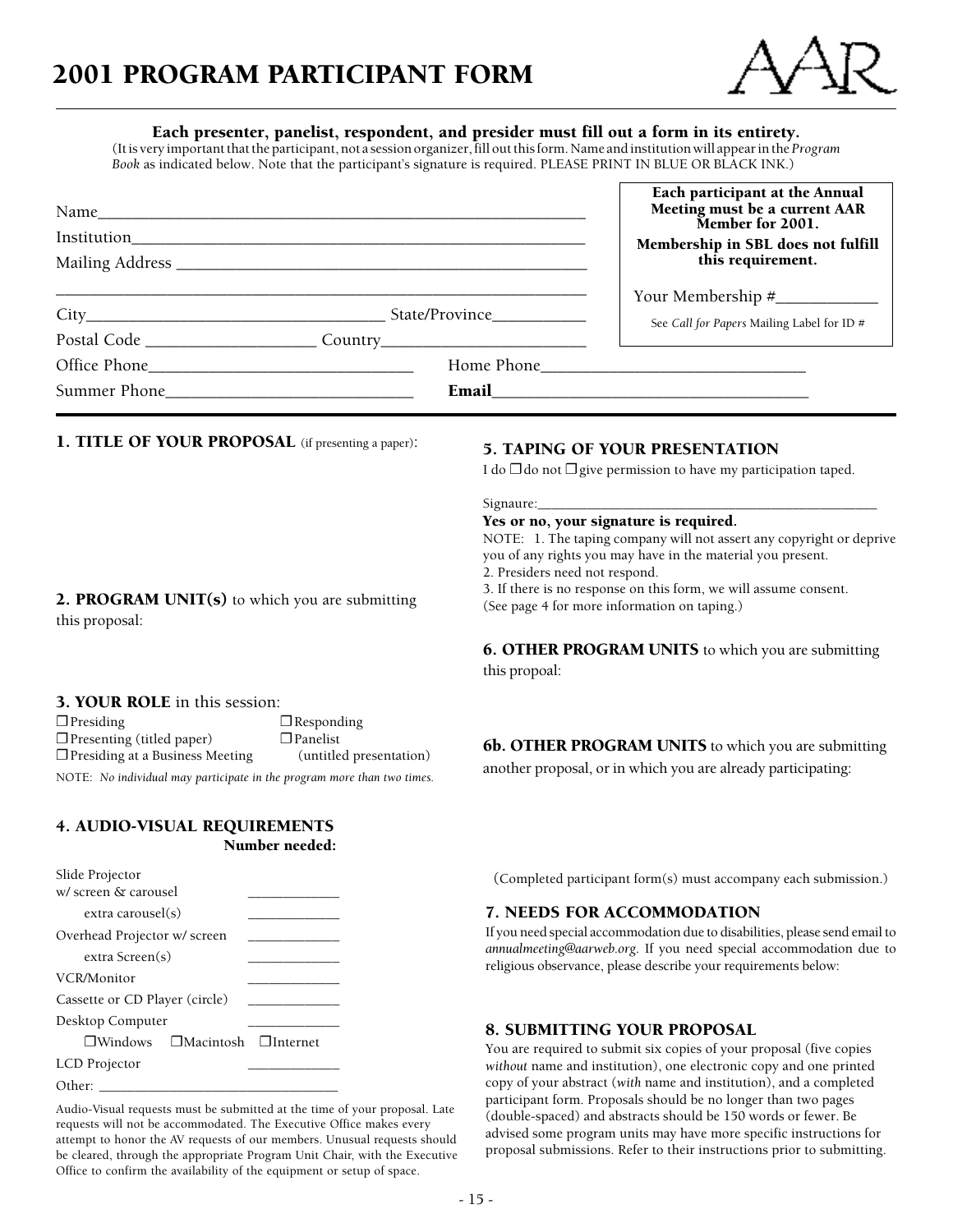

#### Each presenter, panelist, respondent, and presider must fill out a form in its entirety.

(It is very important that the participant, not a session organizer, fill out this form. Name and institution will appear in the *Program Book* as indicated below. Note that the participant's signature is required. PLEASE PRINT IN BLUE OR BLACK INK.)

|                                                                                  |  | Each participant at the Annual<br>Meeting must be a current AAR<br>Member for 2001.                                                                                                                                           |
|----------------------------------------------------------------------------------|--|-------------------------------------------------------------------------------------------------------------------------------------------------------------------------------------------------------------------------------|
|                                                                                  |  | Membership in SBL does not fulfill                                                                                                                                                                                            |
|                                                                                  |  | this requirement.                                                                                                                                                                                                             |
|                                                                                  |  |                                                                                                                                                                                                                               |
|                                                                                  |  | See Call for Papers Mailing Label for ID #                                                                                                                                                                                    |
| Postal Code ___________________________Country__________________________________ |  |                                                                                                                                                                                                                               |
|                                                                                  |  |                                                                                                                                                                                                                               |
| Summer Phone                                                                     |  | Email and the contract of the contract of the contract of the contract of the contract of the contract of the contract of the contract of the contract of the contract of the contract of the contract of the contract of the |

1. TITLE OF YOUR PROPOSAL (if presenting a paper): 5. TAPING OF YOUR PRESENTATION

2. PROGRAM UNIT(s) to which you are submitting

I do  $\Box$  do not  $\Box$  give permission to have my participation taped.

Signaure:\_

#### Yes or no, your signature is required.

NOTE: 1. The taping company will not assert any copyright or deprive you of any rights you may have in the material you present. 2. Presiders need not respond.

3. If there is no response on this form, we will assume consent. (See page 4 for more information on taping.)

6. OTHER PROGRAM UNITS to which you are submitting this propoal:

#### 3. YOUR ROLE in this session:

this proposal:

 $\Box$  Presiding  $\Box$  Responding  $\Box$  Presenting (titled paper)  $\Box$  Panelist ❐ Presiding at a Business Meeting (untitled presentation) NOTE: *No individual may participate in the program more than two times.*

4. AUDIO-VISUAL REQUIREMENTS Number needed:

| Slide Projector                                 |  |
|-------------------------------------------------|--|
| w/screen & carousel                             |  |
| extra carousel(s)                               |  |
| Overhead Projector w/ screen                    |  |
| extra Screen(s)                                 |  |
| VCR/Monitor                                     |  |
| Cassette or CD Player (circle)                  |  |
| Desktop Computer                                |  |
| $\Box$ Windows $\Box$ Macintosh $\Box$ Internet |  |
| <b>LCD</b> Projector                            |  |
| Other:                                          |  |

Audio-Visual requests must be submitted at the time of your proposal. Late requests will not be accommodated. The Executive Office makes every attempt to honor the AV requests of our members. Unusual requests should be cleared, through the appropriate Program Unit Chair, with the Executive Office to confirm the availability of the equipment or setup of space.

**6b. OTHER PROGRAM UNITS** to which you are submitting

another proposal, or in which you are already participating:

(Completed participant form(s) must accompany each submission.)

#### 7. NEEDS FOR ACCOMMODATION

If you need special accommodation due to disabilities, please send email to *annualmeeting@aarweb.org*. If you need special accommodation due to religious observance, please describe your requirements below:

#### 8. SUBMITTING YOUR PROPOSAL

You are required to submit six copies of your proposal (five copies *without* name and institution), one electronic copy and one printed copy of your abstract (*with* name and institution), and a completed participant form. Proposals should be no longer than two pages (double-spaced) and abstracts should be 150 words or fewer. Be advised some program units may have more specific instructions for proposal submissions. Refer to their instructions prior to submitting.